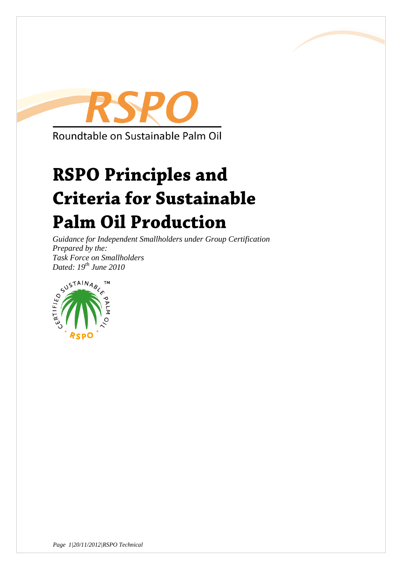

# **RSPO Principles and Criteria for Sustainable Palm Oil Production**

*Guidance for Independent Smallholders under Group Certification Prepared by the: Dated: 19th June 2010*

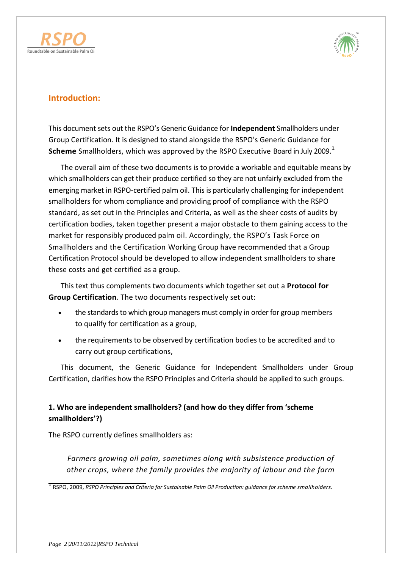



### **Introduction:**

This document sets out the RSPO's Generic Guidance for **Independent** Smallholders under Group Certification. It is designed to stand alongside the RSPO's Generic Guidance for **Scheme** Smallholders, which was approved by the RSPO Executive Board in July 2009.<sup>1</sup>

The overall aim of these two documents is to provide a workable and equitable means by which smallholders can get their produce certified so they are not unfairly excluded from the emerging market in RSPO-certified palm oil. This is particularly challenging for independent smallholders for whom compliance and providing proof of compliance with the RSPO standard, as set out in the Principles and Criteria, as well as the sheer costs of audits by certification bodies, taken together present a major obstacle to them gaining access to the market for responsibly produced palm oil. Accordingly, the RSPO's Task Force on Smallholders and the Certification Working Group have recommended that a Group Certification Protocol should be developed to allow independent smallholders to share these costs and get certified as a group.

This text thus complements two documents which together set out a **Protocol for Group Certification**. The two documents respectively set out:

- the standards to which group managers must comply in order for group members to qualify for certification as a group,
- the requirements to be observed by certification bodies to be accredited and to carry out group certifications,

This document, the Generic Guidance for Independent Smallholders under Group Certification, clarifies how the RSPO Principles and Criteria should be applied to such groups.

### **1. Who are independent smallholders? (and how do they differ from 'scheme smallholders'?)**

The RSPO currently defines smallholders as:

*Farmers growing oil palm, sometimes along with subsistence production of other crops, where the family provides the majority of labour and the farm*

1 RSPO, 2009, *RSPO Principles and Criteria for Sustainable Palm Oil Production: guidance for scheme smallholders.*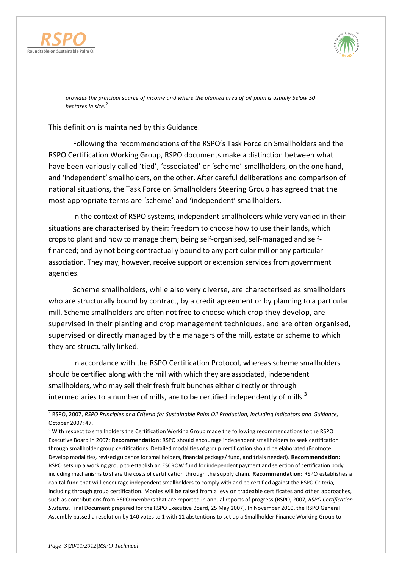



*provides the principal source of income and where the planted area of oil palm is usually below 50 hectares in size.*<sup>2</sup>

This definition is maintained by this Guidance.

Following the recommendations of the RSPO's Task Force on Smallholders and the RSPO Certification Working Group, RSPO documents make a distinction between what have been variously called 'tied', 'associated' or 'scheme' smallholders, on the one hand, and 'independent' smallholders, on the other. After careful deliberations and comparison of national situations, the Task Force on Smallholders Steering Group has agreed that the most appropriate terms are 'scheme' and 'independent' smallholders.

In the context of RSPO systems, independent smallholders while very varied in their situations are characterised by their: freedom to choose how to use their lands, which crops to plant and how to manage them; being self-organised, self-managed and selffinanced; and by not being contractually bound to any particular mill or any particular association. They may, however, receive support or extension services from government agencies.

Scheme smallholders, while also very diverse, are characterised as smallholders who are structurally bound by contract, by a credit agreement or by planning to a particular mill. Scheme smallholders are often not free to choose which crop they develop, are supervised in their planting and crop management techniques, and are often organised, supervised or directly managed by the managers of the mill, estate or scheme to which they are structurally linked.

In accordance with the RSPO Certification Protocol, whereas scheme smallholders should be certified along with the mill with which they are associated, independent smallholders, who may sell their fresh fruit bunches either directly or through intermediaries to a number of mills, are to be certified independently of mills. $3$ 

2 RSPO, 2007, *RSPO Principles and Criteria for Sustainable Palm Oil Production, including Indicators and Guidance,*  October 2007: 47.

<sup>3</sup> With respect to smallholders the Certification Working Group made the following recommendations to the RSPO Executive Board in 2007: **Recommendation:** RSPO should encourage independent smallholders to seek certification through smallholder group certifications. Detailed modalities of group certification should be elaborated.(Footnote: Develop modalities, revised guidance for smallholders, financial package/ fund, and trials needed). **Recommendation:** RSPO sets up a working group to establish an ESCROW fund for independent payment and selection of certification body including mechanisms to share the costs of certification through the supply chain. **Recommendation:** RSPO establishes a capital fund that will encourage independent smallholders to comply with and be certified against the RSPO Criteria, including through group certification. Monies will be raised from a levy on tradeable certificates and other approaches, such as contributions from RSPO members that are reported in annual reports of progress (RSPO, 2007, *RSPO Certification Systems*. Final Document prepared for the RSPO Executive Board, 25 May 2007). In November 2010, the RSPO General Assembly passed a resolution by 140 votes to 1 with 11 abstentions to set up a Smallholder Finance Working Group to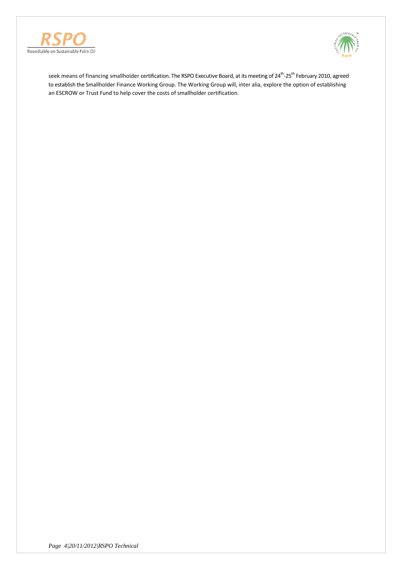



seek means of financing smallholder certification. The RSPO Executive Board, at its meeting of 24<sup>th</sup>-25<sup>th</sup> February 2010, agreed to establish the Smallholder Finance Working Group. The Working Group will, inter alia, explore the option of establishing an ESCROW or Trust Fund to help cover the costs of smallholder certification.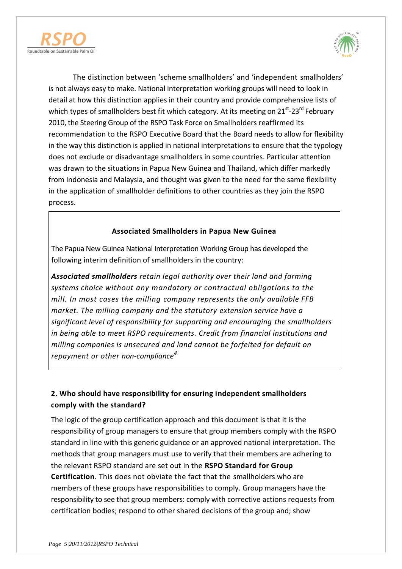



The distinction between 'scheme smallholders' and 'independent smallholders' is not always easy to make. National interpretation working groups will need to look in detail at how this distinction applies in their country and provide comprehensive lists of which types of smallholders best fit which category. At its meeting on 21<sup>st</sup>-23<sup>rd</sup> February 2010, the Steering Group of the RSPO Task Force on Smallholders reaffirmed its recommendation to the RSPO Executive Board that the Board needs to allow for flexibility in the way this distinction is applied in national interpretations to ensure that the typology does not exclude or disadvantage smallholders in some countries. Particular attention was drawn to the situations in Papua New Guinea and Thailand, which differ markedly from Indonesia and Malaysia, and thought was given to the need for the same flexibility in the application of smallholder definitions to other countries as they join the RSPO process.

### **Associated Smallholders in Papua New Guinea**

The Papua New Guinea National Interpretation Working Group has developed the following interim definition of smallholders in the country:

*Associated smallholders retain legal authority over their land and farming systems choice without any mandatory or contractual obligations to the mill. In most cases the milling company represents the only available FFB market. The milling company and the statutory extension service have a significant level of responsibility for supporting and encouraging the smallholders in being able to meet RSPO requirements. Credit from financial institutions and milling companies is unsecured and land cannot be forfeited for default on repayment or other non-compliance<sup>4</sup>*

### **2. Who should have responsibility for ensuring independent smallholders comply with the standard?**

The logic of the group certification approach and this document is that it is the responsibility of group managers to ensure that group members comply with the RSPO standard in line with this generic guidance or an approved national interpretation. The methods that group managers must use to verify that their members are adhering to the relevant RSPO standard are set out in the **RSPO Standard for Group Certification**. This does not obviate the fact that the smallholders who are members of these groups have responsibilities to comply. Group managers have the responsibility to see that group members: comply with corrective actions requests from certification bodies; respond to other shared decisions of the group and; show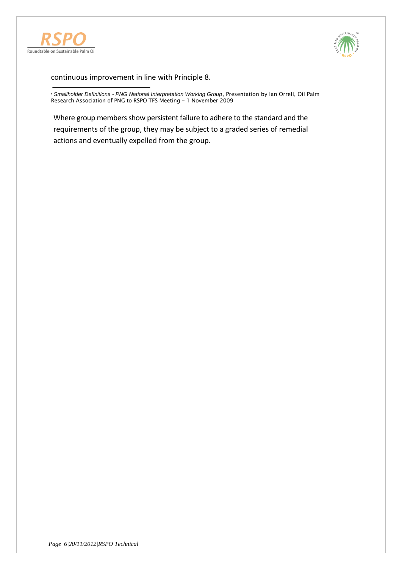



continuous improvement in line with Principle 8.

**<sup>4</sup>** *Smallholder Definitions - PNG National Interpretation Working Group*, Presentation by Ian Orrell, Oil Palm Research Association of PNG to RSPO TFS Meeting - 1 November 2009

Where group members show persistent failure to adhere to the standard and the requirements of the group, they may be subject to a graded series of remedial actions and eventually expelled from the group.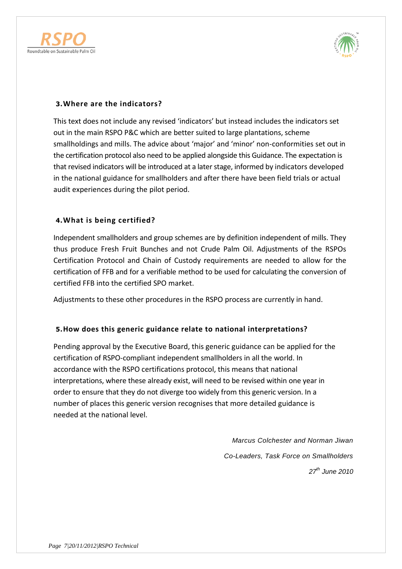



### **3.Where are the indicators?**

This text does not include any revised 'indicators' but instead includes the indicators set out in the main RSPO P&C which are better suited to large plantations, scheme smallholdings and mills. The advice about 'major' and 'minor' non-conformities set out in the certification protocol also need to be applied alongside this Guidance. The expectation is that revised indicators will be introduced at a later stage, informed by indicators developed in the national guidance for smallholders and after there have been field trials or actual audit experiences during the pilot period.

#### **4.What is being certified?**

Independent smallholders and group schemes are by definition independent of mills. They thus produce Fresh Fruit Bunches and not Crude Palm Oil. Adjustments of the RSPOs Certification Protocol and Chain of Custody requirements are needed to allow for the certification of FFB and for a verifiable method to be used for calculating the conversion of certified FFB into the certified SPO market.

Adjustments to these other procedures in the RSPO process are currently in hand.

#### **5.How does this generic guidance relate to national interpretations?**

Pending approval by the Executive Board, this generic guidance can be applied for the certification of RSPO-compliant independent smallholders in all the world. In accordance with the RSPO certifications protocol, this means that national interpretations, where these already exist, will need to be revised within one year in order to ensure that they do not diverge too widely from this generic version. In a number of places this generic version recognises that more detailed guidance is needed at the national level.

> *Marcus Colchester and Norman Jiwan Co-Leaders, Task Force on Smallholders 27th June 2010*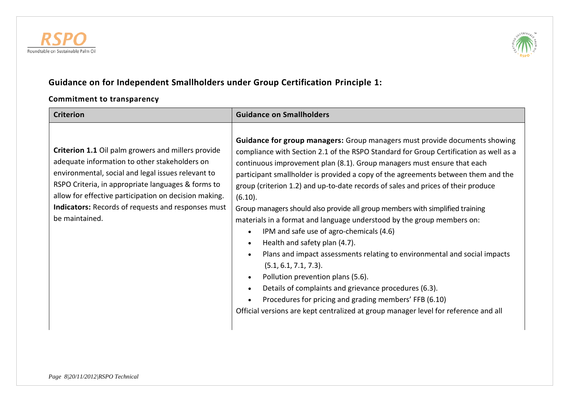



# **Guidance on for Independent Smallholders under Group Certification Principle 1:**

# **Commitment to transparency**

| <b>Criterion</b>                                                                                                                                                                                                                                                                                                                                        | <b>Guidance on Smallholders</b>                                                                                                                                                                                                                                                                                                                                                                                                                                                                                                                                                                                                                                                                                                                                                                                                                                                                                                                                                                                                                                                                   |
|---------------------------------------------------------------------------------------------------------------------------------------------------------------------------------------------------------------------------------------------------------------------------------------------------------------------------------------------------------|---------------------------------------------------------------------------------------------------------------------------------------------------------------------------------------------------------------------------------------------------------------------------------------------------------------------------------------------------------------------------------------------------------------------------------------------------------------------------------------------------------------------------------------------------------------------------------------------------------------------------------------------------------------------------------------------------------------------------------------------------------------------------------------------------------------------------------------------------------------------------------------------------------------------------------------------------------------------------------------------------------------------------------------------------------------------------------------------------|
| Criterion 1.1 Oil palm growers and millers provide<br>adequate information to other stakeholders on<br>environmental, social and legal issues relevant to<br>RSPO Criteria, in appropriate languages & forms to<br>allow for effective participation on decision making.<br><b>Indicators:</b> Records of requests and responses must<br>be maintained. | Guidance for group managers: Group managers must provide documents showing<br>compliance with Section 2.1 of the RSPO Standard for Group Certification as well as a<br>continuous improvement plan (8.1). Group managers must ensure that each<br>participant smallholder is provided a copy of the agreements between them and the<br>group (criterion 1.2) and up-to-date records of sales and prices of their produce<br>(6.10).<br>Group managers should also provide all group members with simplified training<br>materials in a format and language understood by the group members on:<br>IPM and safe use of agro-chemicals (4.6)<br>$\bullet$<br>Health and safety plan (4.7).<br>$\bullet$<br>Plans and impact assessments relating to environmental and social impacts<br>$\bullet$<br>(5.1, 6.1, 7.1, 7.3).<br>Pollution prevention plans (5.6).<br>$\bullet$<br>Details of complaints and grievance procedures (6.3).<br>$\bullet$<br>Procedures for pricing and grading members' FFB (6.10)<br>Official versions are kept centralized at group manager level for reference and all |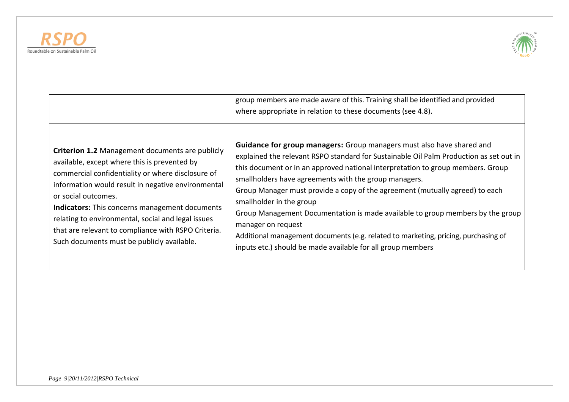



|                                                                                                                                                                                                                                                                                                                                                                                                                                                       | group members are made aware of this. Training shall be identified and provided<br>where appropriate in relation to these documents (see 4.8).                                                                                                                                                                                                                                                                                                                                                                                                                                                                                                                                       |
|-------------------------------------------------------------------------------------------------------------------------------------------------------------------------------------------------------------------------------------------------------------------------------------------------------------------------------------------------------------------------------------------------------------------------------------------------------|--------------------------------------------------------------------------------------------------------------------------------------------------------------------------------------------------------------------------------------------------------------------------------------------------------------------------------------------------------------------------------------------------------------------------------------------------------------------------------------------------------------------------------------------------------------------------------------------------------------------------------------------------------------------------------------|
| Criterion 1.2 Management documents are publicly<br>available, except where this is prevented by<br>commercial confidentiality or where disclosure of<br>information would result in negative environmental<br>or social outcomes.<br><b>Indicators:</b> This concerns management documents<br>relating to environmental, social and legal issues<br>that are relevant to compliance with RSPO Criteria.<br>Such documents must be publicly available. | Guidance for group managers: Group managers must also have shared and<br>explained the relevant RSPO standard for Sustainable Oil Palm Production as set out in<br>this document or in an approved national interpretation to group members. Group<br>smallholders have agreements with the group managers.<br>Group Manager must provide a copy of the agreement (mutually agreed) to each<br>smallholder in the group<br>Group Management Documentation is made available to group members by the group<br>manager on request<br>Additional management documents (e.g. related to marketing, pricing, purchasing of<br>inputs etc.) should be made available for all group members |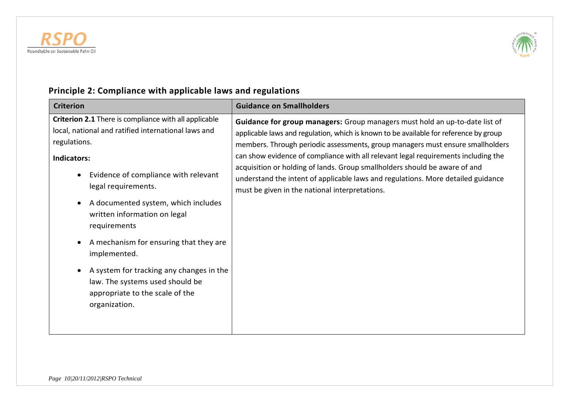



# **Principle 2: Compliance with applicable laws and regulations**

| <b>Criterion</b>                                                                                                                                                                                                                                                                                                                                                                                                                                                                                            | <b>Guidance on Smallholders</b>                                                                                                                                                                                                                                                                                                                                                                                                                                                                                                                                         |
|-------------------------------------------------------------------------------------------------------------------------------------------------------------------------------------------------------------------------------------------------------------------------------------------------------------------------------------------------------------------------------------------------------------------------------------------------------------------------------------------------------------|-------------------------------------------------------------------------------------------------------------------------------------------------------------------------------------------------------------------------------------------------------------------------------------------------------------------------------------------------------------------------------------------------------------------------------------------------------------------------------------------------------------------------------------------------------------------------|
| Criterion 2.1 There is compliance with all applicable<br>local, national and ratified international laws and<br>regulations.<br>Indicators:<br>Evidence of compliance with relevant<br>legal requirements.<br>A documented system, which includes<br>written information on legal<br>requirements<br>A mechanism for ensuring that they are<br>implemented.<br>A system for tracking any changes in the<br>$\bullet$<br>law. The systems used should be<br>appropriate to the scale of the<br>organization. | <b>Guidance for group managers:</b> Group managers must hold an up-to-date list of<br>applicable laws and regulation, which is known to be available for reference by group<br>members. Through periodic assessments, group managers must ensure smallholders<br>can show evidence of compliance with all relevant legal requirements including the<br>acquisition or holding of lands. Group smallholders should be aware of and<br>understand the intent of applicable laws and regulations. More detailed guidance<br>must be given in the national interpretations. |
|                                                                                                                                                                                                                                                                                                                                                                                                                                                                                                             |                                                                                                                                                                                                                                                                                                                                                                                                                                                                                                                                                                         |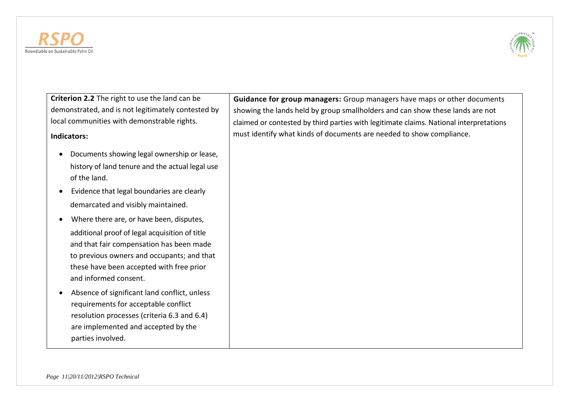



**Criterion 2.2** The right to use the land can be demonstrated, and is not legitimately contested by local communities with demonstrable rights.

#### **Indicators:**

- Documents showing legal ownership or lease, history of land tenure and the actual legal use of the land.
- Evidence that legal boundaries are clearly demarcated and visibly maintained.
- Where there are, or have been, disputes, additional proof of legal acquisition of title and that fair compensation has been made to previous owners and occupants; and that these have been accepted with free prior and informed consent.
- Absence of significant land conflict, unless requirements for acceptable conflict resolution processes (criteria 6.3 and 6.4) are implemented and accepted by the parties involved.

**Guidance for group managers:** Group managers have maps or other documents showing the lands held by group smallholders and can show these lands are not claimed or contested by third parties with legitimate claims. National interpretations must identify what kinds of documents are needed to show compliance.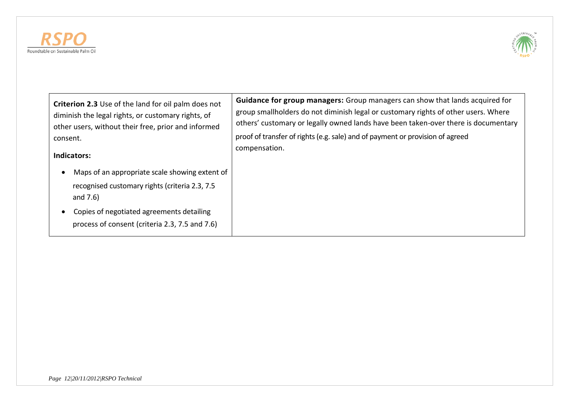



| <b>Criterion 2.3</b> Use of the land for oil palm does not                                                                                                                                                     | <b>Guidance for group managers:</b> Group managers can show that lands acquired for |
|----------------------------------------------------------------------------------------------------------------------------------------------------------------------------------------------------------------|-------------------------------------------------------------------------------------|
| diminish the legal rights, or customary rights, of                                                                                                                                                             | group smallholders do not diminish legal or customary rights of other users. Where  |
| other users, without their free, prior and informed                                                                                                                                                            | others' customary or legally owned lands have been taken-over there is documentary  |
| consent.                                                                                                                                                                                                       | proof of transfer of rights (e.g. sale) and of payment or provision of agreed       |
| Indicators:                                                                                                                                                                                                    | compensation.                                                                       |
| Maps of an appropriate scale showing extent of<br>recognised customary rights (criteria 2.3, 7.5<br>and $7.6$ )<br>Copies of negotiated agreements detailing<br>process of consent (criteria 2.3, 7.5 and 7.6) |                                                                                     |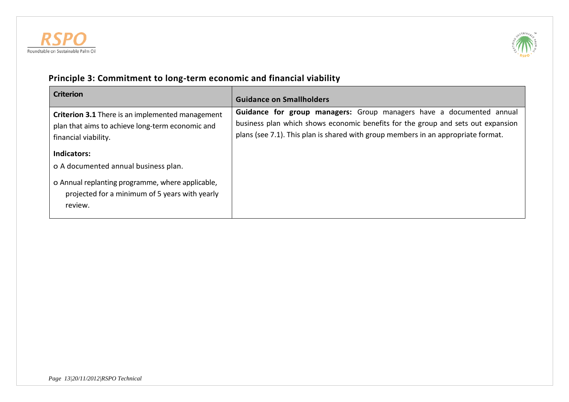



# **Principle 3: Commitment to long-term economic and financial viability**

| <b>Criterion</b>                                                                                                                                                     | <b>Guidance on Smallholders</b>                                                                                                                                                                                                               |
|----------------------------------------------------------------------------------------------------------------------------------------------------------------------|-----------------------------------------------------------------------------------------------------------------------------------------------------------------------------------------------------------------------------------------------|
| <b>Criterion 3.1</b> There is an implemented management<br>plan that aims to achieve long-term economic and<br>financial viability.                                  | Guidance for group managers: Group managers have a documented annual<br>business plan which shows economic benefits for the group and sets out expansion<br>plans (see 7.1). This plan is shared with group members in an appropriate format. |
| Indicators:<br>o A documented annual business plan.<br>o Annual replanting programme, where applicable,<br>projected for a minimum of 5 years with yearly<br>review. |                                                                                                                                                                                                                                               |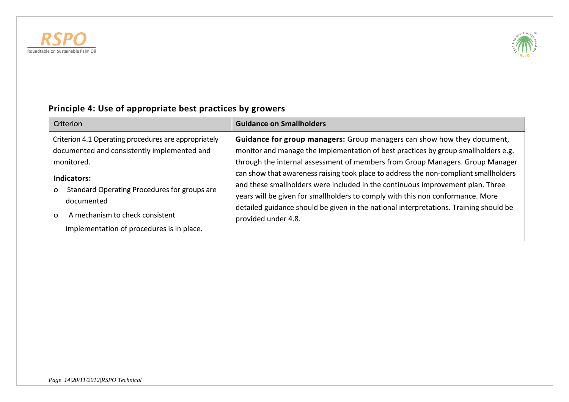



| Criterion                                                                                                                                                                                                                                                                                       | <b>Guidance on Smallholders</b>                                                                                                                                                                                                                                                                                                                                                                                                                                                                                                                                                                                            |
|-------------------------------------------------------------------------------------------------------------------------------------------------------------------------------------------------------------------------------------------------------------------------------------------------|----------------------------------------------------------------------------------------------------------------------------------------------------------------------------------------------------------------------------------------------------------------------------------------------------------------------------------------------------------------------------------------------------------------------------------------------------------------------------------------------------------------------------------------------------------------------------------------------------------------------------|
| Criterion 4.1 Operating procedures are appropriately<br>documented and consistently implemented and<br>monitored.<br>Indicators:<br>Standard Operating Procedures for groups are<br>O<br>documented<br>A mechanism to check consistent<br>$\Omega$<br>implementation of procedures is in place. | Guidance for group managers: Group managers can show how they document,<br>monitor and manage the implementation of best practices by group smallholders e.g.<br>through the internal assessment of members from Group Managers. Group Manager<br>can show that awareness raising took place to address the non-compliant smallholders<br>and these smallholders were included in the continuous improvement plan. Three<br>years will be given for smallholders to comply with this non conformance. More<br>detailed guidance should be given in the national interpretations. Training should be<br>provided under 4.8. |

# **Principle 4: Use of appropriate best practices by growers**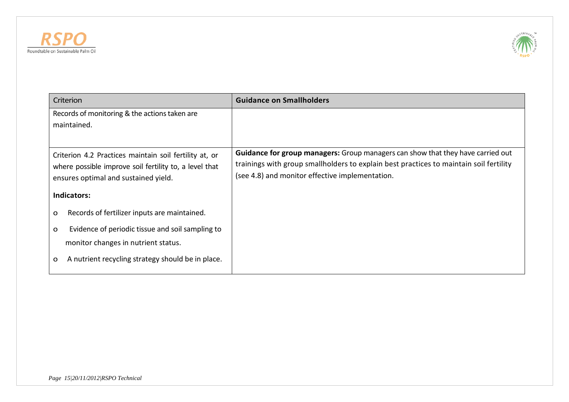



| Criterion                                                                                                                                                | <b>Guidance on Smallholders</b>                                                                                                                                                                                                     |
|----------------------------------------------------------------------------------------------------------------------------------------------------------|-------------------------------------------------------------------------------------------------------------------------------------------------------------------------------------------------------------------------------------|
| Records of monitoring & the actions taken are<br>maintained.                                                                                             |                                                                                                                                                                                                                                     |
| Criterion 4.2 Practices maintain soil fertility at, or<br>where possible improve soil fertility to, a level that<br>ensures optimal and sustained yield. | <b>Guidance for group managers:</b> Group managers can show that they have carried out<br>trainings with group smallholders to explain best practices to maintain soil fertility<br>(see 4.8) and monitor effective implementation. |
| <b>Indicators:</b>                                                                                                                                       |                                                                                                                                                                                                                                     |
| Records of fertilizer inputs are maintained.<br>o                                                                                                        |                                                                                                                                                                                                                                     |
| Evidence of periodic tissue and soil sampling to<br>$\mathbf{o}$<br>monitor changes in nutrient status.                                                  |                                                                                                                                                                                                                                     |
| A nutrient recycling strategy should be in place.<br>o                                                                                                   |                                                                                                                                                                                                                                     |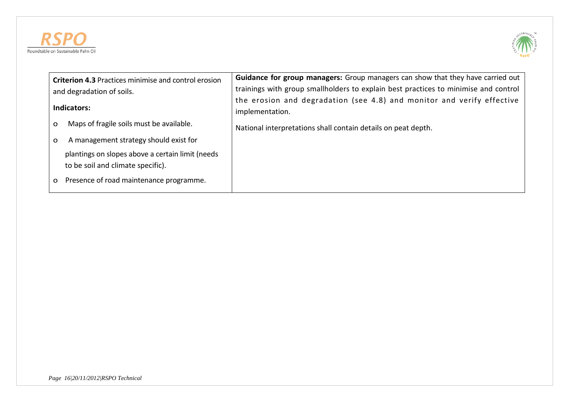



| <b>Criterion 4.3 Practices minimise and control erosion</b>                           | Guidance for group managers: Group managers can show that they have carried out           |
|---------------------------------------------------------------------------------------|-------------------------------------------------------------------------------------------|
| and degradation of soils.                                                             | trainings with group smallholders to explain best practices to minimise and control       |
| Indicators:                                                                           | the erosion and degradation (see 4.8) and monitor and verify effective<br>implementation. |
| Maps of fragile soils must be available.<br>$\Omega$                                  | National interpretations shall contain details on peat depth.                             |
| A management strategy should exist for<br>$\Omega$                                    |                                                                                           |
| plantings on slopes above a certain limit (needs<br>to be soil and climate specific). |                                                                                           |
| Presence of road maintenance programme.<br>O                                          |                                                                                           |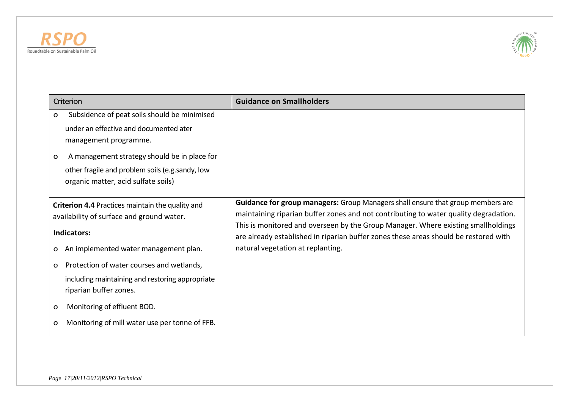



| Criterion                                                                                                                                                                                                                                                                                 | <b>Guidance on Smallholders</b>                                                                                                                                                                                                                                                                                                                                                           |
|-------------------------------------------------------------------------------------------------------------------------------------------------------------------------------------------------------------------------------------------------------------------------------------------|-------------------------------------------------------------------------------------------------------------------------------------------------------------------------------------------------------------------------------------------------------------------------------------------------------------------------------------------------------------------------------------------|
| Subsidence of peat soils should be minimised<br>$\mathbf{o}$<br>under an effective and documented ater<br>management programme.<br>A management strategy should be in place for<br>$\mathbf{o}$<br>other fragile and problem soils (e.g.sandy, low<br>organic matter, acid sulfate soils) |                                                                                                                                                                                                                                                                                                                                                                                           |
| <b>Criterion 4.4 Practices maintain the quality and</b><br>availability of surface and ground water.<br>Indicators:<br>An implemented water management plan.<br>O                                                                                                                         | Guidance for group managers: Group Managers shall ensure that group members are<br>maintaining riparian buffer zones and not contributing to water quality degradation.<br>This is monitored and overseen by the Group Manager. Where existing smallholdings<br>are already established in riparian buffer zones these areas should be restored with<br>natural vegetation at replanting. |
| Protection of water courses and wetlands,<br>$\mathbf{o}$<br>including maintaining and restoring appropriate<br>riparian buffer zones.                                                                                                                                                    |                                                                                                                                                                                                                                                                                                                                                                                           |
| Monitoring of effluent BOD.<br>$\mathbf{o}$<br>Monitoring of mill water use per tonne of FFB.<br>O                                                                                                                                                                                        |                                                                                                                                                                                                                                                                                                                                                                                           |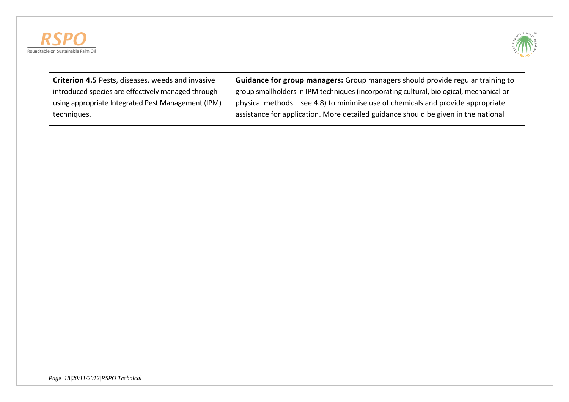



| Criterion 4.5 Pests, diseases, weeds and invasive  | <b>Guidance for group managers:</b> Group managers should provide regular training to   |
|----------------------------------------------------|-----------------------------------------------------------------------------------------|
| introduced species are effectively managed through | group smallholders in IPM techniques (incorporating cultural, biological, mechanical or |
| using appropriate Integrated Pest Management (IPM) | physical methods – see 4.8) to minimise use of chemicals and provide appropriate        |
| techniques.                                        | assistance for application. More detailed guidance should be given in the national      |
|                                                    |                                                                                         |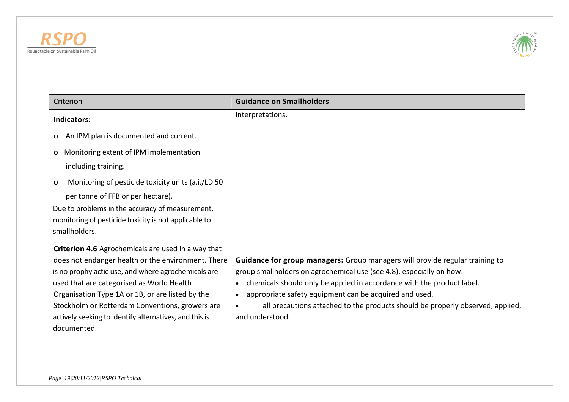



| Criterion                                                                                                 | <b>Guidance on Smallholders</b>                                                                                                                      |
|-----------------------------------------------------------------------------------------------------------|------------------------------------------------------------------------------------------------------------------------------------------------------|
| <b>Indicators:</b>                                                                                        | interpretations.                                                                                                                                     |
| An IPM plan is documented and current.<br>O                                                               |                                                                                                                                                      |
| Monitoring extent of IPM implementation<br>O                                                              |                                                                                                                                                      |
| including training.                                                                                       |                                                                                                                                                      |
| Monitoring of pesticide toxicity units (a.i./LD 50<br>o                                                   |                                                                                                                                                      |
| per tonne of FFB or per hectare).                                                                         |                                                                                                                                                      |
| Due to problems in the accuracy of measurement,                                                           |                                                                                                                                                      |
| monitoring of pesticide toxicity is not applicable to                                                     |                                                                                                                                                      |
| smallholders.                                                                                             |                                                                                                                                                      |
| Criterion 4.6 Agrochemicals are used in a way that                                                        |                                                                                                                                                      |
| does not endanger health or the environment. There<br>is no prophylactic use, and where agrochemicals are | Guidance for group managers: Group managers will provide regular training to<br>group smallholders on agrochemical use (see 4.8), especially on how: |
| used that are categorised as World Health                                                                 | chemicals should only be applied in accordance with the product label.<br>$\bullet$                                                                  |
| Organisation Type 1A or 1B, or are listed by the                                                          | appropriate safety equipment can be acquired and used.<br>$\bullet$                                                                                  |
| Stockholm or Rotterdam Conventions, growers are                                                           | all precautions attached to the products should be properly observed, applied,<br>$\bullet$                                                          |
| actively seeking to identify alternatives, and this is                                                    | and understood.                                                                                                                                      |
| documented.                                                                                               |                                                                                                                                                      |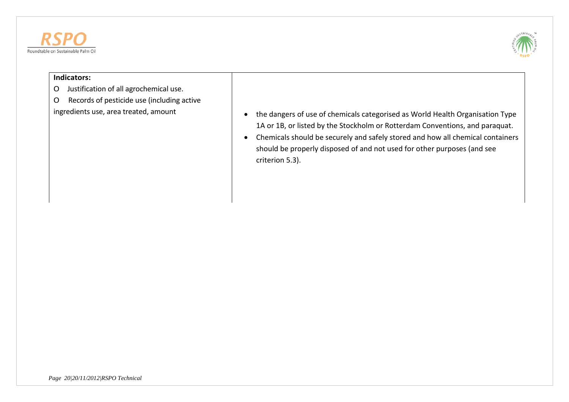



#### **Indicators:**

- O Justification of all agrochemical use.
- O Records of pesticide use (including active
- ingredients use, area treated, amount  $\begin{vmatrix} 1 & 1 \\ 0 & 1 \end{vmatrix}$  the dangers of use of chemicals categorised as World Health Organisation Type 1A or 1B, or listed by the Stockholm or Rotterdam Conventions, and paraquat.
	- Chemicals should be securely and safely stored and how all chemical containers should be properly disposed of and not used for other purposes (and see criterion 5.3).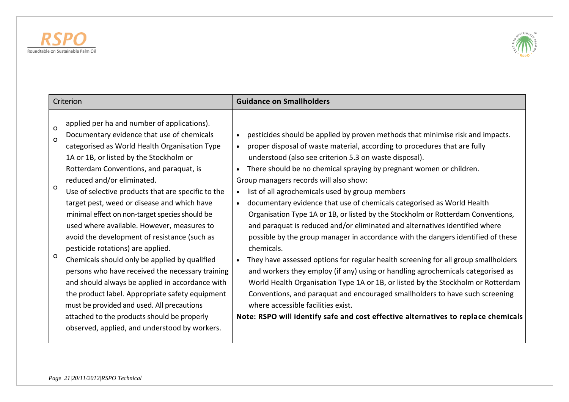

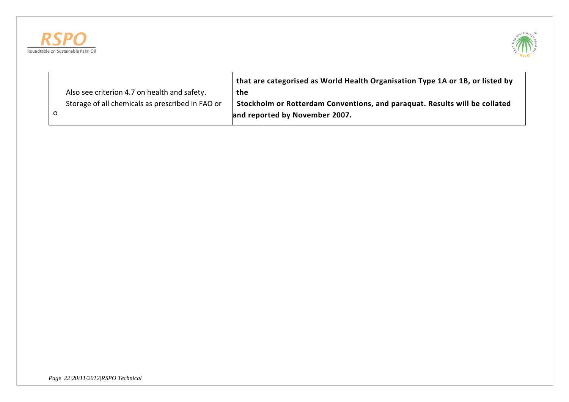



|                                                  | that are categorised as World Health Organisation Type 1A or 1B, or listed by |
|--------------------------------------------------|-------------------------------------------------------------------------------|
| Also see criterion 4.7 on health and safety.     | the                                                                           |
| Storage of all chemicals as prescribed in FAO or | Stockholm or Rotterdam Conventions, and paraquat. Results will be collated    |
|                                                  | and reported by November 2007.                                                |
|                                                  |                                                                               |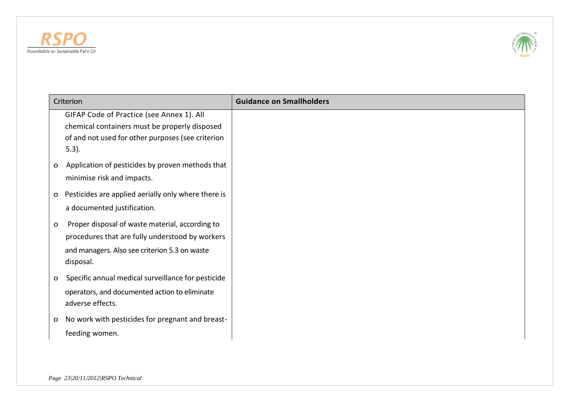



| Criterion                                                                                                                                                           | <b>Guidance on Smallholders</b> |
|---------------------------------------------------------------------------------------------------------------------------------------------------------------------|---------------------------------|
| GIFAP Code of Practice (see Annex 1). All<br>chemical containers must be properly disposed<br>of and not used for other purposes (see criterion<br>$5.3$ ).         |                                 |
| Application of pesticides by proven methods that<br>$\mathbf{o}$<br>minimise risk and impacts.                                                                      |                                 |
| Pesticides are applied aerially only where there is<br>$\mathbf{o}$<br>a documented justification.                                                                  |                                 |
| Proper disposal of waste material, according to<br>$\mathbf{o}$<br>procedures that are fully understood by workers<br>and managers. Also see criterion 5.3 on waste |                                 |
| disposal.<br>Specific annual medical surveillance for pesticide<br>$\mathbf{o}$<br>operators, and documented action to eliminate<br>adverse effects.                |                                 |
| No work with pesticides for pregnant and breast-<br>$\mathbf{o}$<br>feeding women.                                                                                  |                                 |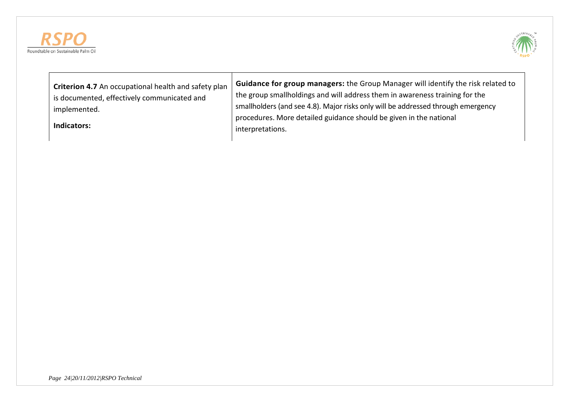



| Criterion 4.7 An occupational health and safety plan<br>is documented, effectively communicated and<br>implemented.<br>Indicators: | Guidance for group managers: the Group Manager will identify the risk related to<br>the group smallholdings and will address them in awareness training for the<br>smallholders (and see 4.8). Major risks only will be addressed through emergency<br>procedures. More detailed guidance should be given in the national<br>interpretations. |
|------------------------------------------------------------------------------------------------------------------------------------|-----------------------------------------------------------------------------------------------------------------------------------------------------------------------------------------------------------------------------------------------------------------------------------------------------------------------------------------------|
|------------------------------------------------------------------------------------------------------------------------------------|-----------------------------------------------------------------------------------------------------------------------------------------------------------------------------------------------------------------------------------------------------------------------------------------------------------------------------------------------|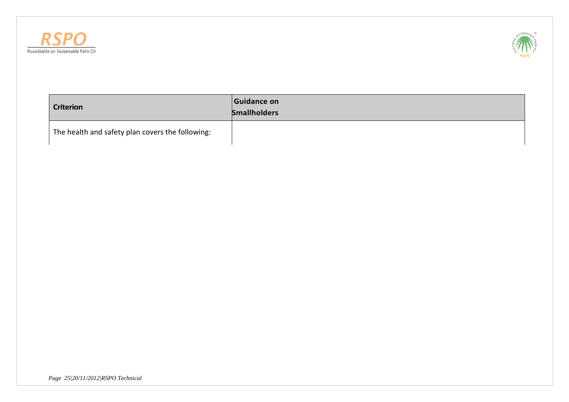



| <b>Criterion</b>                                 | Guidance on<br><b>Smallholders</b> |
|--------------------------------------------------|------------------------------------|
| The health and safety plan covers the following: |                                    |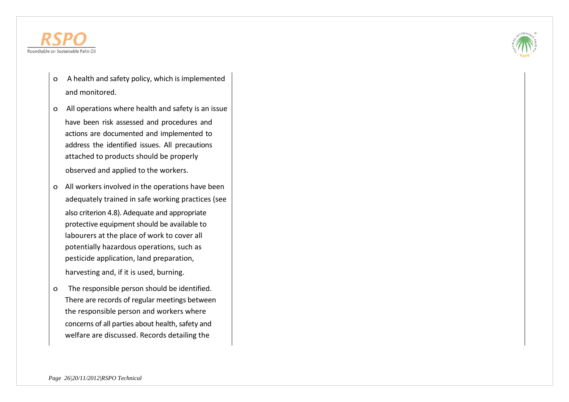

- o A health and safety policy, which is implemented and monitored.
- o All operations where health and safety is an issue have been risk assessed and procedures and actions are documented and implemented to address the identified issues. All precautions attached to products should be properly observed and applied to the workers.
- o All workers involved in the operations have been adequately trained in safe working practices (see also criterion 4.8). Adequate and appropriate protective equipment should be available to labourers at the place of work to cover all potentially hazardous operations, such as pesticide application, land preparation, harvesting and, if it is used, burning.
- o The responsible person should be identified. There are records of regular meetings between the responsible person and workers where concerns of all parties about health, safety and welfare are discussed. Records detailing the

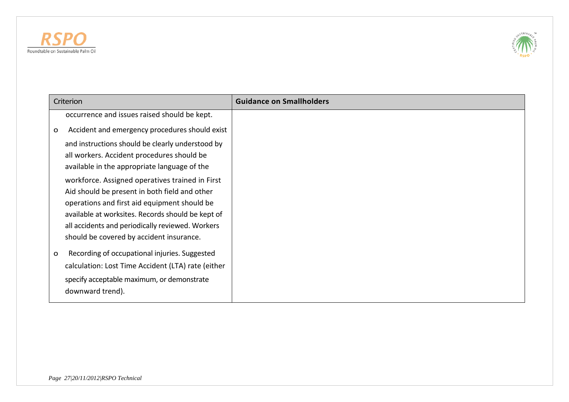



| Criterion                                                                                                                                                                                                                                                                                             | <b>Guidance on Smallholders</b> |
|-------------------------------------------------------------------------------------------------------------------------------------------------------------------------------------------------------------------------------------------------------------------------------------------------------|---------------------------------|
| occurrence and issues raised should be kept.                                                                                                                                                                                                                                                          |                                 |
| Accident and emergency procedures should exist<br>o                                                                                                                                                                                                                                                   |                                 |
| and instructions should be clearly understood by<br>all workers. Accident procedures should be<br>available in the appropriate language of the                                                                                                                                                        |                                 |
| workforce. Assigned operatives trained in First<br>Aid should be present in both field and other<br>operations and first aid equipment should be<br>available at worksites. Records should be kept of<br>all accidents and periodically reviewed. Workers<br>should be covered by accident insurance. |                                 |
| Recording of occupational injuries. Suggested<br>O<br>calculation: Lost Time Accident (LTA) rate (either<br>specify acceptable maximum, or demonstrate<br>downward trend).                                                                                                                            |                                 |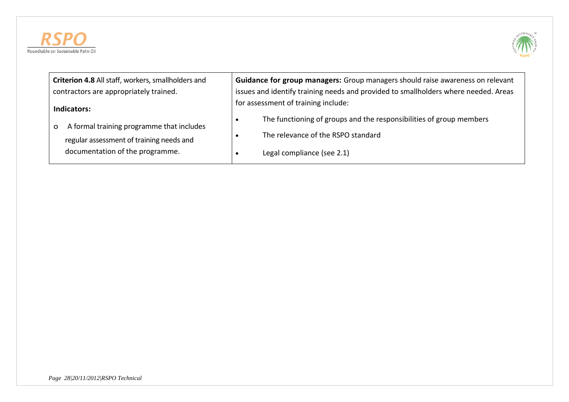



| Criterion 4.8 All staff, workers, smallholders and                                         | Guidance for group managers: Group managers should raise awareness on relevant                             |
|--------------------------------------------------------------------------------------------|------------------------------------------------------------------------------------------------------------|
| contractors are appropriately trained.                                                     | issues and identify training needs and provided to smallholders where needed. Areas                        |
| Indicators:                                                                                | for assessment of training include:<br>The functioning of groups and the responsibilities of group members |
| A formal training programme that includes<br>o<br>regular assessment of training needs and | The relevance of the RSPO standard                                                                         |
| documentation of the programme.                                                            | Legal compliance (see 2.1)                                                                                 |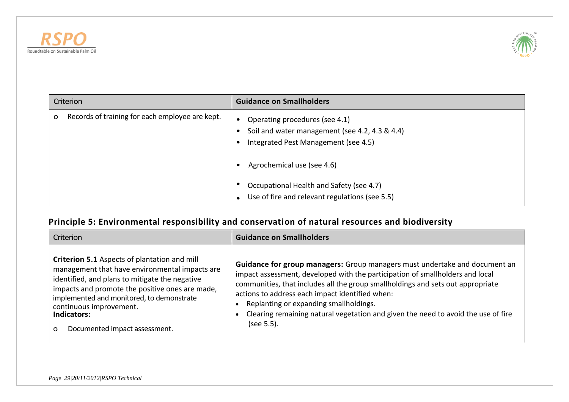



|   | Criterion                                       | <b>Guidance on Smallholders</b>                                                                                          |
|---|-------------------------------------------------|--------------------------------------------------------------------------------------------------------------------------|
| O | Records of training for each employee are kept. | Operating procedures (see 4.1)<br>Soil and water management (see 4.2, 4.3 & 4.4)<br>Integrated Pest Management (see 4.5) |
|   |                                                 | Agrochemical use (see 4.6)                                                                                               |
|   |                                                 | Occupational Health and Safety (see 4.7)<br>Use of fire and relevant regulations (see 5.5)                               |

# **Principle 5: Environmental responsibility and conservation of natural resources and biodiversity**

| Criterion                                                                                                                                                                                                                                                                                                                               | <b>Guidance on Smallholders</b>                                                                                                                                                                                                                                                                                                                                                                                                                |
|-----------------------------------------------------------------------------------------------------------------------------------------------------------------------------------------------------------------------------------------------------------------------------------------------------------------------------------------|------------------------------------------------------------------------------------------------------------------------------------------------------------------------------------------------------------------------------------------------------------------------------------------------------------------------------------------------------------------------------------------------------------------------------------------------|
| Criterion 5.1 Aspects of plantation and mill<br>management that have environmental impacts are<br>identified, and plans to mitigate the negative<br>impacts and promote the positive ones are made,<br>implemented and monitored, to demonstrate<br>continuous improvement.<br>Indicators:<br>Documented impact assessment.<br>$\Omega$ | Guidance for group managers: Group managers must undertake and document an<br>impact assessment, developed with the participation of smallholders and local<br>communities, that includes all the group smallholdings and sets out appropriate<br>actions to address each impact identified when:<br>Replanting or expanding smallholdings.<br>Clearing remaining natural vegetation and given the need to avoid the use of fire<br>(see 5.5). |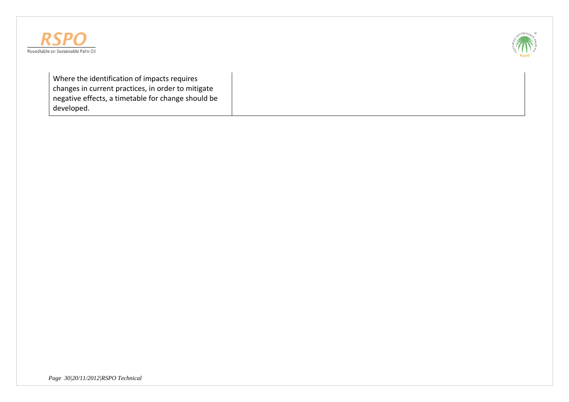



Where the identification of impacts requires changes in current practices, in order to mitigate negative effects, a timetable for change should be developed.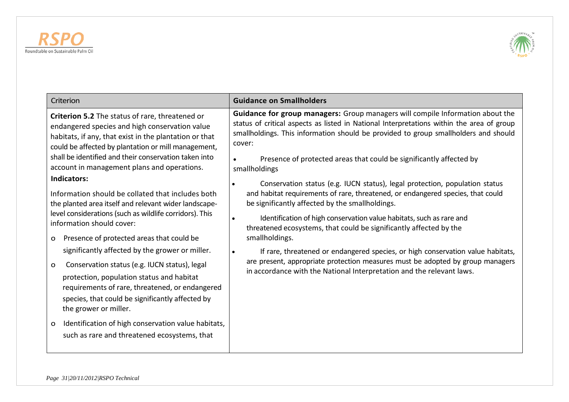



| Criterion                                                                                                                                                                                                                                                                                                                                                                                                                                                                                                                                                                                                                                                                                                                                                                                                                                                                                                                                                                                                                 | <b>Guidance on Smallholders</b>                                                                                                                                                                                                                                                                                                                                                                                                                                                                                                                                                                                                                                                                                                                                                                                                                                                                                                                                                                                                                |
|---------------------------------------------------------------------------------------------------------------------------------------------------------------------------------------------------------------------------------------------------------------------------------------------------------------------------------------------------------------------------------------------------------------------------------------------------------------------------------------------------------------------------------------------------------------------------------------------------------------------------------------------------------------------------------------------------------------------------------------------------------------------------------------------------------------------------------------------------------------------------------------------------------------------------------------------------------------------------------------------------------------------------|------------------------------------------------------------------------------------------------------------------------------------------------------------------------------------------------------------------------------------------------------------------------------------------------------------------------------------------------------------------------------------------------------------------------------------------------------------------------------------------------------------------------------------------------------------------------------------------------------------------------------------------------------------------------------------------------------------------------------------------------------------------------------------------------------------------------------------------------------------------------------------------------------------------------------------------------------------------------------------------------------------------------------------------------|
| Criterion 5.2 The status of rare, threatened or<br>endangered species and high conservation value<br>habitats, if any, that exist in the plantation or that<br>could be affected by plantation or mill management,<br>shall be identified and their conservation taken into<br>account in management plans and operations.<br>Indicators:<br>Information should be collated that includes both<br>the planted area itself and relevant wider landscape-<br>level considerations (such as wildlife corridors). This<br>information should cover:<br>Presence of protected areas that could be<br>$\mathbf{o}$<br>significantly affected by the grower or miller.<br>Conservation status (e.g. IUCN status), legal<br>o<br>protection, population status and habitat<br>requirements of rare, threatened, or endangered<br>species, that could be significantly affected by<br>the grower or miller.<br>Identification of high conservation value habitats,<br>$\mathbf{o}$<br>such as rare and threatened ecosystems, that | Guidance for group managers: Group managers will compile Information about the<br>status of critical aspects as listed in National Interpretations within the area of group<br>smallholdings. This information should be provided to group smallholders and should<br>cover:<br>Presence of protected areas that could be significantly affected by<br>$\bullet$<br>smallholdings<br>Conservation status (e.g. IUCN status), legal protection, population status<br>$\bullet$<br>and habitat requirements of rare, threatened, or endangered species, that could<br>be significantly affected by the smallholdings.<br>Identification of high conservation value habitats, such as rare and<br>threatened ecosystems, that could be significantly affected by the<br>smallholdings.<br>If rare, threatened or endangered species, or high conservation value habitats,<br>$\bullet$<br>are present, appropriate protection measures must be adopted by group managers<br>in accordance with the National Interpretation and the relevant laws. |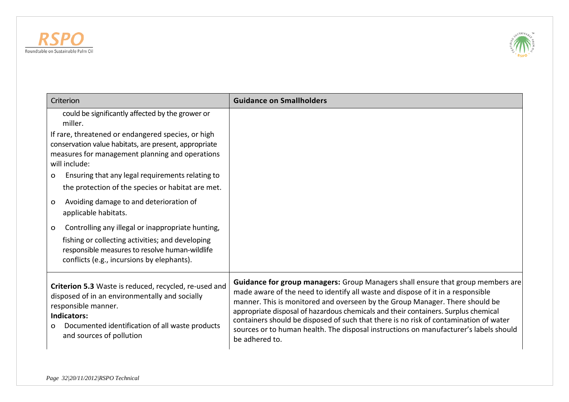



| Criterion                                                                                                                                                                                                                                | <b>Guidance on Smallholders</b>                                                                                                                                                                                                                                                                                                                                                                                                                                                                                                              |
|------------------------------------------------------------------------------------------------------------------------------------------------------------------------------------------------------------------------------------------|----------------------------------------------------------------------------------------------------------------------------------------------------------------------------------------------------------------------------------------------------------------------------------------------------------------------------------------------------------------------------------------------------------------------------------------------------------------------------------------------------------------------------------------------|
| could be significantly affected by the grower or<br>miller.                                                                                                                                                                              |                                                                                                                                                                                                                                                                                                                                                                                                                                                                                                                                              |
| If rare, threatened or endangered species, or high<br>conservation value habitats, are present, appropriate<br>measures for management planning and operations<br>will include:                                                          |                                                                                                                                                                                                                                                                                                                                                                                                                                                                                                                                              |
| Ensuring that any legal requirements relating to<br>O<br>the protection of the species or habitat are met.                                                                                                                               |                                                                                                                                                                                                                                                                                                                                                                                                                                                                                                                                              |
| Avoiding damage to and deterioration of<br>$\mathbf{o}$<br>applicable habitats.                                                                                                                                                          |                                                                                                                                                                                                                                                                                                                                                                                                                                                                                                                                              |
| Controlling any illegal or inappropriate hunting,<br>o<br>fishing or collecting activities; and developing<br>responsible measures to resolve human-wildlife<br>conflicts (e.g., incursions by elephants).                               |                                                                                                                                                                                                                                                                                                                                                                                                                                                                                                                                              |
| Criterion 5.3 Waste is reduced, recycled, re-used and<br>disposed of in an environmentally and socially<br>responsible manner.<br><b>Indicators:</b><br>Documented identification of all waste products<br>O<br>and sources of pollution | Guidance for group managers: Group Managers shall ensure that group members are<br>made aware of the need to identify all waste and dispose of it in a responsible<br>manner. This is monitored and overseen by the Group Manager. There should be<br>appropriate disposal of hazardous chemicals and their containers. Surplus chemical<br>containers should be disposed of such that there is no risk of contamination of water<br>sources or to human health. The disposal instructions on manufacturer's labels should<br>be adhered to. |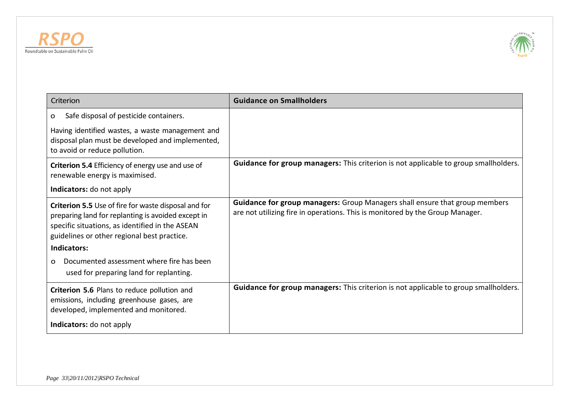



| Criterion                                                                                                                                                                                                    | <b>Guidance on Smallholders</b>                                                                                                                                     |
|--------------------------------------------------------------------------------------------------------------------------------------------------------------------------------------------------------------|---------------------------------------------------------------------------------------------------------------------------------------------------------------------|
| Safe disposal of pesticide containers.<br>O                                                                                                                                                                  |                                                                                                                                                                     |
| Having identified wastes, a waste management and<br>disposal plan must be developed and implemented,<br>to avoid or reduce pollution.                                                                        |                                                                                                                                                                     |
| Criterion 5.4 Efficiency of energy use and use of<br>renewable energy is maximised.                                                                                                                          | Guidance for group managers: This criterion is not applicable to group smallholders.                                                                                |
| Indicators: do not apply                                                                                                                                                                                     |                                                                                                                                                                     |
| Criterion 5.5 Use of fire for waste disposal and for<br>preparing land for replanting is avoided except in<br>specific situations, as identified in the ASEAN<br>guidelines or other regional best practice. | <b>Guidance for group managers:</b> Group Managers shall ensure that group members<br>are not utilizing fire in operations. This is monitored by the Group Manager. |
| Indicators:                                                                                                                                                                                                  |                                                                                                                                                                     |
| Documented assessment where fire has been<br>O<br>used for preparing land for replanting.                                                                                                                    |                                                                                                                                                                     |
| Criterion 5.6 Plans to reduce pollution and<br>emissions, including greenhouse gases, are<br>developed, implemented and monitored.                                                                           | Guidance for group managers: This criterion is not applicable to group smallholders.                                                                                |
| Indicators: do not apply                                                                                                                                                                                     |                                                                                                                                                                     |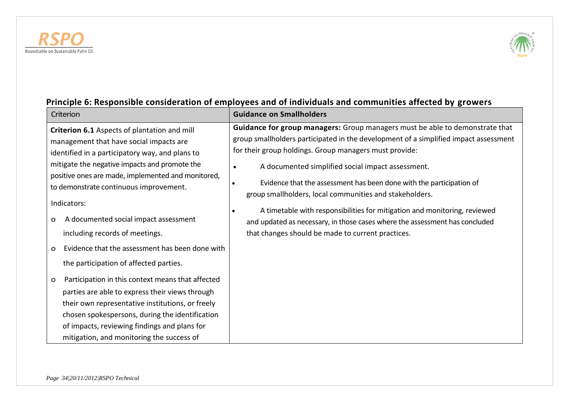



### Criterion **Guidance on Smallholders Criterion 6.1** Aspects of plantation and mill management that have social impacts are identified in a participatory way, and plans to mitigate the negative impacts and promote the positive ones are made, implemented and monitored, to demonstrate continuous improvement. Indicators: o A documented social impact assessment including records of meetings. o Evidence that the assessment has been done with the participation of affected parties. o Participation in this context means that affected parties are able to express their views through their own representative institutions, or freely chosen spokespersons, during the identification of impacts, reviewing findings and plans for mitigation, and monitoring the success of **Guidance for group managers:** Group managers must be able to demonstrate that group smallholders participated in the development of a simplified impact assessment for their group holdings. Group managers must provide: A documented simplified social impact assessment. Evidence that the assessment has been done with the participation of group smallholders, local communities and stakeholders. A timetable with responsibilities for mitigation and monitoring, reviewed and updated as necessary, in those cases where the assessment has concluded that changes should be made to current practices.

# **Principle 6: Responsible consideration of employees and of individuals and communities affected by growers**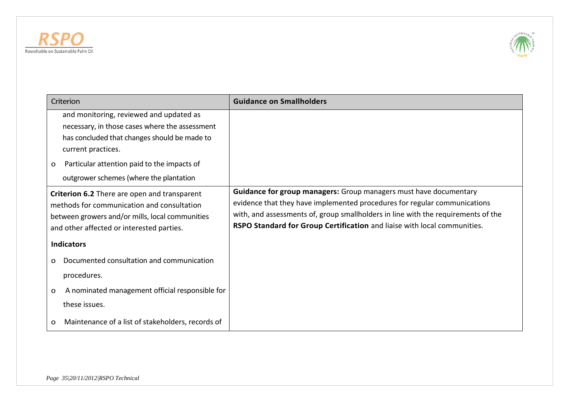



| Criterion                                                                                                                                                                                                                                                      | <b>Guidance on Smallholders</b>                                                                                                                                                                                                                                                                                 |
|----------------------------------------------------------------------------------------------------------------------------------------------------------------------------------------------------------------------------------------------------------------|-----------------------------------------------------------------------------------------------------------------------------------------------------------------------------------------------------------------------------------------------------------------------------------------------------------------|
| and monitoring, reviewed and updated as<br>necessary, in those cases where the assessment<br>has concluded that changes should be made to<br>current practices.<br>Particular attention paid to the impacts of<br>O<br>outgrower schemes (where the plantation |                                                                                                                                                                                                                                                                                                                 |
| Criterion 6.2 There are open and transparent<br>methods for communication and consultation<br>between growers and/or mills, local communities<br>and other affected or interested parties.                                                                     | Guidance for group managers: Group managers must have documentary<br>evidence that they have implemented procedures for regular communications<br>with, and assessments of, group smallholders in line with the requirements of the<br>RSPO Standard for Group Certification and liaise with local communities. |
| <b>Indicators</b>                                                                                                                                                                                                                                              |                                                                                                                                                                                                                                                                                                                 |
| Documented consultation and communication<br>$\Omega$<br>procedures.                                                                                                                                                                                           |                                                                                                                                                                                                                                                                                                                 |
| A nominated management official responsible for<br>$\mathbf{o}$<br>these issues.<br>Maintenance of a list of stakeholders, records of<br>o                                                                                                                     |                                                                                                                                                                                                                                                                                                                 |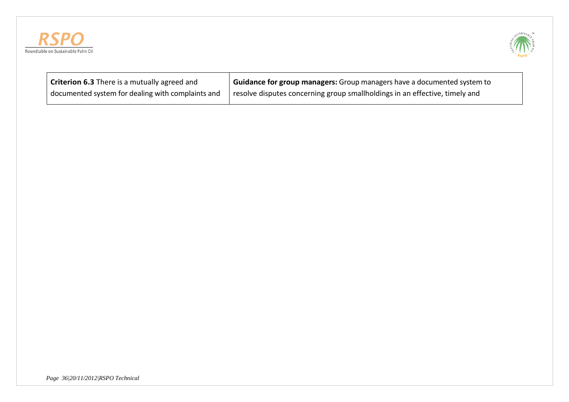



| <b>Criterion 6.3</b> There is a mutually agreed and | Guidance for group managers: Group managers have a documented system to                  |
|-----------------------------------------------------|------------------------------------------------------------------------------------------|
| documented system for dealing with complaints and   | <sup>1</sup> resolve disputes concerning group smallholdings in an effective, timely and |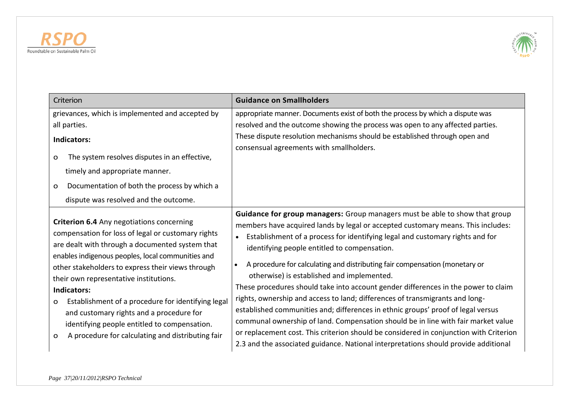



| Criterion                                                                                                                                                                                                                                                                                                                                                                                                                                                                                                                                         | <b>Guidance on Smallholders</b>                                                                                                                                                                                                                                                                                                                                                                                                                                                                                                                                                                                                                                                                                                                                                                                                                                                                                                                                            |
|---------------------------------------------------------------------------------------------------------------------------------------------------------------------------------------------------------------------------------------------------------------------------------------------------------------------------------------------------------------------------------------------------------------------------------------------------------------------------------------------------------------------------------------------------|----------------------------------------------------------------------------------------------------------------------------------------------------------------------------------------------------------------------------------------------------------------------------------------------------------------------------------------------------------------------------------------------------------------------------------------------------------------------------------------------------------------------------------------------------------------------------------------------------------------------------------------------------------------------------------------------------------------------------------------------------------------------------------------------------------------------------------------------------------------------------------------------------------------------------------------------------------------------------|
| grievances, which is implemented and accepted by<br>all parties.<br><b>Indicators:</b><br>The system resolves disputes in an effective,<br>o<br>timely and appropriate manner.<br>Documentation of both the process by which a<br>o<br>dispute was resolved and the outcome.                                                                                                                                                                                                                                                                      | appropriate manner. Documents exist of both the process by which a dispute was<br>resolved and the outcome showing the process was open to any affected parties.<br>These dispute resolution mechanisms should be established through open and<br>consensual agreements with smallholders.                                                                                                                                                                                                                                                                                                                                                                                                                                                                                                                                                                                                                                                                                 |
| Criterion 6.4 Any negotiations concerning<br>compensation for loss of legal or customary rights<br>are dealt with through a documented system that<br>enables indigenous peoples, local communities and<br>other stakeholders to express their views through<br>their own representative institutions.<br>Indicators:<br>Establishment of a procedure for identifying legal<br>$\mathbf{O}$<br>and customary rights and a procedure for<br>identifying people entitled to compensation.<br>A procedure for calculating and distributing fair<br>o | Guidance for group managers: Group managers must be able to show that group<br>members have acquired lands by legal or accepted customary means. This includes:<br>Establishment of a process for identifying legal and customary rights and for<br>identifying people entitled to compensation.<br>A procedure for calculating and distributing fair compensation (monetary or<br>$\bullet$<br>otherwise) is established and implemented.<br>These procedures should take into account gender differences in the power to claim<br>rights, ownership and access to land; differences of transmigrants and long-<br>established communities and; differences in ethnic groups' proof of legal versus<br>communal ownership of land. Compensation should be in line with fair market value<br>or replacement cost. This criterion should be considered in conjunction with Criterion<br>2.3 and the associated guidance. National interpretations should provide additional |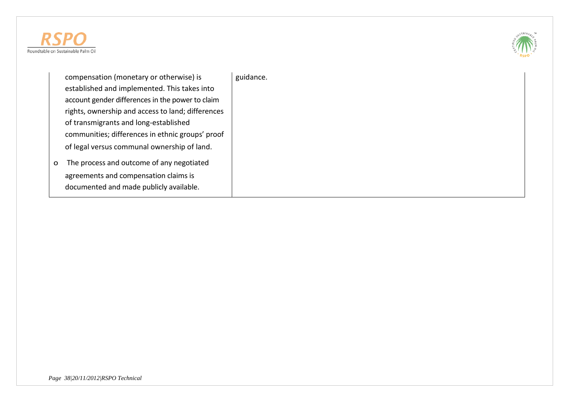



compensation (monetary or otherwise) is established and implemented. This takes into account gender differences in the power to claim rights, ownership and access to land; differences of transmigrants and long-established communities; differences in ethnic groups' proof of legal versus communal ownership of land.

o The process and outcome of any negotiated agreements and compensation claims is documented and made publicly available.

guidance.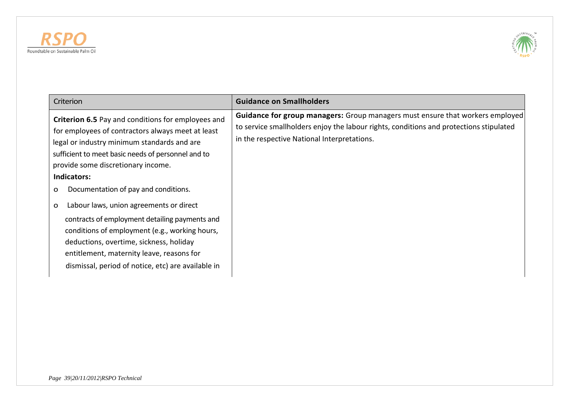



| Criterion                                                                                                                                                                                                                                                                                                                                                                                                                                                                                                                                                                                                                   | <b>Guidance on Smallholders</b>                                                                                                                                                                                               |
|-----------------------------------------------------------------------------------------------------------------------------------------------------------------------------------------------------------------------------------------------------------------------------------------------------------------------------------------------------------------------------------------------------------------------------------------------------------------------------------------------------------------------------------------------------------------------------------------------------------------------------|-------------------------------------------------------------------------------------------------------------------------------------------------------------------------------------------------------------------------------|
| Criterion 6.5 Pay and conditions for employees and<br>for employees of contractors always meet at least<br>legal or industry minimum standards and are<br>sufficient to meet basic needs of personnel and to<br>provide some discretionary income.<br>Indicators:<br>Documentation of pay and conditions.<br>$\mathbf{o}$<br>Labour laws, union agreements or direct<br>O<br>contracts of employment detailing payments and<br>conditions of employment (e.g., working hours,<br>deductions, overtime, sickness, holiday<br>entitlement, maternity leave, reasons for<br>dismissal, period of notice, etc) are available in | <b>Guidance for group managers:</b> Group managers must ensure that workers employed<br>to service smallholders enjoy the labour rights, conditions and protections stipulated<br>in the respective National Interpretations. |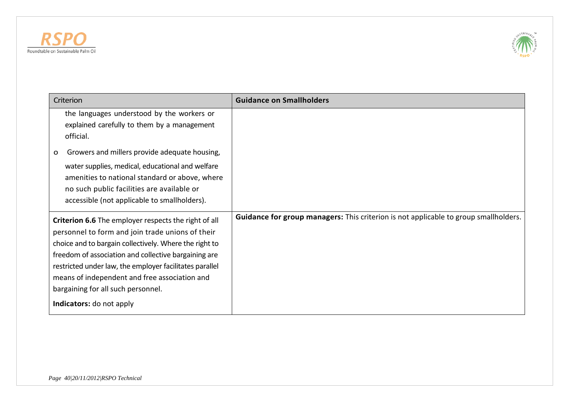



| Criterion                                                                                                                                                                                                                                                                                                                                                                                                       | <b>Guidance on Smallholders</b>                                                             |
|-----------------------------------------------------------------------------------------------------------------------------------------------------------------------------------------------------------------------------------------------------------------------------------------------------------------------------------------------------------------------------------------------------------------|---------------------------------------------------------------------------------------------|
| the languages understood by the workers or<br>explained carefully to them by a management<br>official.                                                                                                                                                                                                                                                                                                          |                                                                                             |
| Growers and millers provide adequate housing,<br>o<br>water supplies, medical, educational and welfare<br>amenities to national standard or above, where<br>no such public facilities are available or<br>accessible (not applicable to smallholders).                                                                                                                                                          |                                                                                             |
| <b>Criterion 6.6</b> The employer respects the right of all<br>personnel to form and join trade unions of their<br>choice and to bargain collectively. Where the right to<br>freedom of association and collective bargaining are<br>restricted under law, the employer facilitates parallel<br>means of independent and free association and<br>bargaining for all such personnel.<br>Indicators: do not apply | <b>Guidance for group managers:</b> This criterion is not applicable to group smallholders. |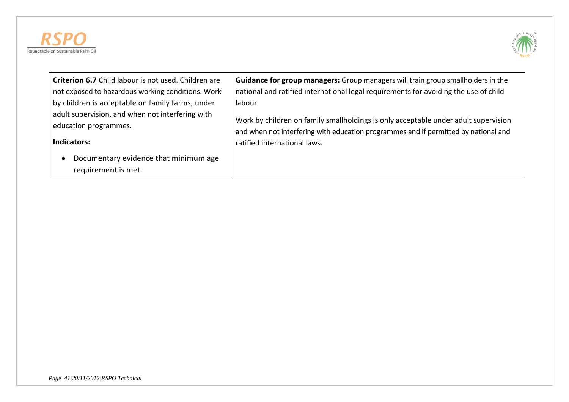



| Criterion 6.7 Child labour is not used. Children are         | <b>Guidance for group managers:</b> Group managers will train group smallholders in the |
|--------------------------------------------------------------|-----------------------------------------------------------------------------------------|
| not exposed to hazardous working conditions. Work            | national and ratified international legal requirements for avoiding the use of child    |
| by children is acceptable on family farms, under             | labour                                                                                  |
| adult supervision, and when not interfering with             | Work by children on family smallholdings is only acceptable under adult supervision     |
| education programmes.                                        | and when not interfering with education programmes and if permitted by national and     |
| <b>Indicators:</b>                                           | ratified international laws.                                                            |
| Documentary evidence that minimum age<br>requirement is met. |                                                                                         |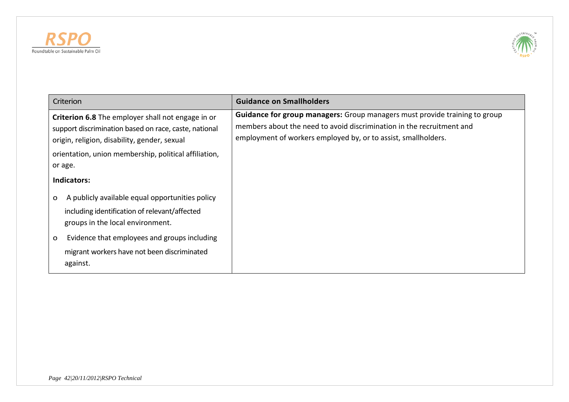



| Criterion                                                                                                                                                                                                                                                                       | <b>Guidance on Smallholders</b>                                                                                                                                                                                              |
|---------------------------------------------------------------------------------------------------------------------------------------------------------------------------------------------------------------------------------------------------------------------------------|------------------------------------------------------------------------------------------------------------------------------------------------------------------------------------------------------------------------------|
| Criterion 6.8 The employer shall not engage in or<br>support discrimination based on race, caste, national<br>origin, religion, disability, gender, sexual<br>orientation, union membership, political affiliation,<br>or age.<br><b>Indicators:</b>                            | <b>Guidance for group managers:</b> Group managers must provide training to group<br>members about the need to avoid discrimination in the recruitment and<br>employment of workers employed by, or to assist, smallholders. |
| A publicly available equal opportunities policy<br>$\mathbf{o}$<br>including identification of relevant/affected<br>groups in the local environment.<br>Evidence that employees and groups including<br>$\mathbf{o}$<br>migrant workers have not been discriminated<br>against. |                                                                                                                                                                                                                              |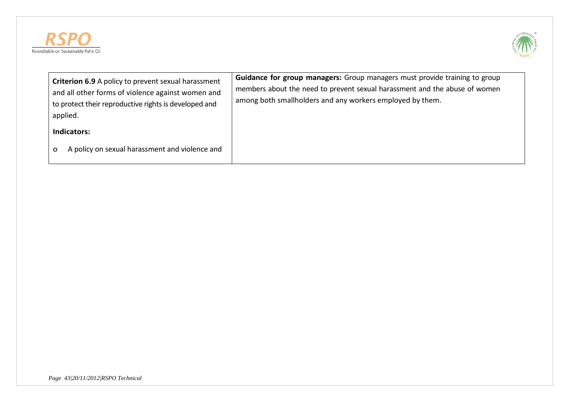



| <b>Criterion 6.9</b> A policy to prevent sexual harassment<br>and all other forms of violence against women and<br>to protect their reproductive rights is developed and<br>applied. | <b>Guidance for group managers:</b> Group managers must provide training to group<br>members about the need to prevent sexual harassment and the abuse of women<br>among both smallholders and any workers employed by them. |
|--------------------------------------------------------------------------------------------------------------------------------------------------------------------------------------|------------------------------------------------------------------------------------------------------------------------------------------------------------------------------------------------------------------------------|
| Indicators:                                                                                                                                                                          |                                                                                                                                                                                                                              |
| A policy on sexual harassment and violence and                                                                                                                                       |                                                                                                                                                                                                                              |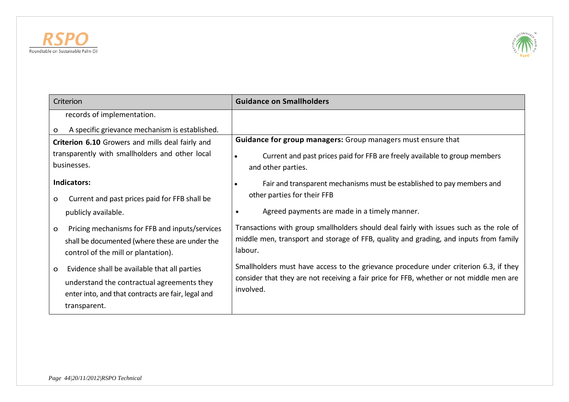



| Criterion                                                     | <b>Guidance on Smallholders</b>                                                                       |
|---------------------------------------------------------------|-------------------------------------------------------------------------------------------------------|
| records of implementation.                                    |                                                                                                       |
| A specific grievance mechanism is established.<br>o           |                                                                                                       |
| Criterion 6.10 Growers and mills deal fairly and              | <b>Guidance for group managers:</b> Group managers must ensure that                                   |
| transparently with smallholders and other local               | Current and past prices paid for FFB are freely available to group members<br>$\bullet$               |
| businesses.                                                   | and other parties.                                                                                    |
| Indicators:                                                   | Fair and transparent mechanisms must be established to pay members and<br>$\bullet$                   |
| Current and past prices paid for FFB shall be<br>$\mathbf{o}$ | other parties for their FFB                                                                           |
| publicly available.                                           | Agreed payments are made in a timely manner.<br>$\bullet$                                             |
| Pricing mechanisms for FFB and inputs/services<br>O           | Transactions with group smallholders should deal fairly with issues such as the role of               |
| shall be documented (where these are under the                | middle men, transport and storage of FFB, quality and grading, and inputs from family                 |
| control of the mill or plantation).                           | labour.                                                                                               |
| Evidence shall be available that all parties<br>O             | Smallholders must have access to the grievance procedure under criterion 6.3, if they                 |
| understand the contractual agreements they                    | consider that they are not receiving a fair price for FFB, whether or not middle men are<br>involved. |
| enter into, and that contracts are fair, legal and            |                                                                                                       |
| transparent.                                                  |                                                                                                       |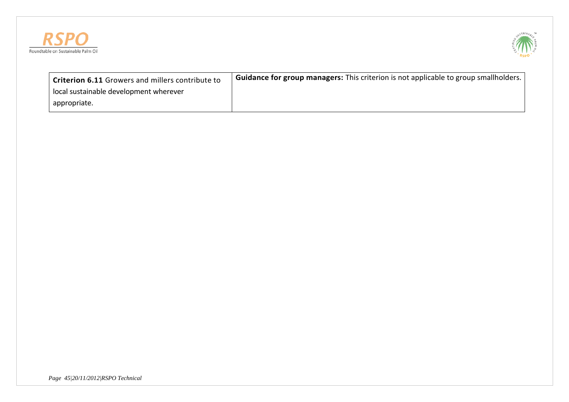



| <sup>'</sup> Criterion 6.11 Growers and millers contribute to | <b>Guidance for group managers:</b> This criterion is not applicable to group smallholders. |
|---------------------------------------------------------------|---------------------------------------------------------------------------------------------|
| local sustainable development wherever                        |                                                                                             |
| appropriate.                                                  |                                                                                             |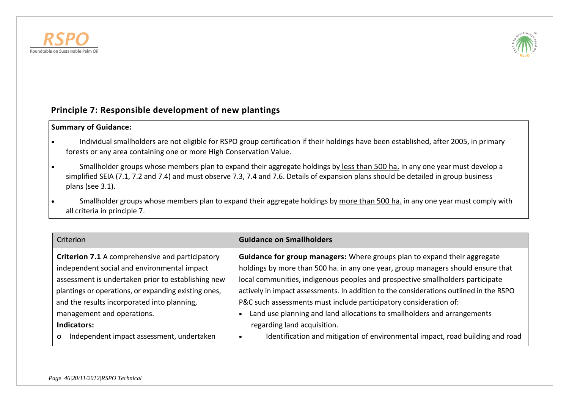



# **Principle 7: Responsible development of new plantings**

### **Summary of Guidance:**

- Individual smallholders are not eligible for RSPO group certification if their holdings have been established, after 2005, in primary forests or any area containing one or more High Conservation Value.
- Smallholder groups whose members plan to expand their aggregate holdings by less than 500 ha. in any one year must develop a simplified SEIA (7.1, 7.2 and 7.4) and must observe 7.3, 7.4 and 7.6. Details of expansion plans should be detailed in group business plans (see 3.1).
- Smallholder groups whose members plan to expand their aggregate holdings by more than 500 ha. in any one year must comply with all criteria in principle 7.

| Criterion                                                                                   | <b>Guidance on Smallholders</b>                                                                                                                                                         |
|---------------------------------------------------------------------------------------------|-----------------------------------------------------------------------------------------------------------------------------------------------------------------------------------------|
| Criterion 7.1 A comprehensive and participatory                                             | Guidance for group managers: Where groups plan to expand their aggregate                                                                                                                |
| independent social and environmental impact                                                 | holdings by more than 500 ha. in any one year, group managers should ensure that                                                                                                        |
| assessment is undertaken prior to establishing new                                          | local communities, indigenous peoples and prospective smallholders participate                                                                                                          |
| plantings or operations, or expanding existing ones,                                        | actively in impact assessments. In addition to the considerations outlined in the RSPO                                                                                                  |
| and the results incorporated into planning,                                                 | P&C such assessments must include participatory consideration of:                                                                                                                       |
| management and operations.<br>Indicators:<br>Independent impact assessment, undertaken<br>O | Land use planning and land allocations to smallholders and arrangements<br>regarding land acquisition.<br>Identification and mitigation of environmental impact, road building and road |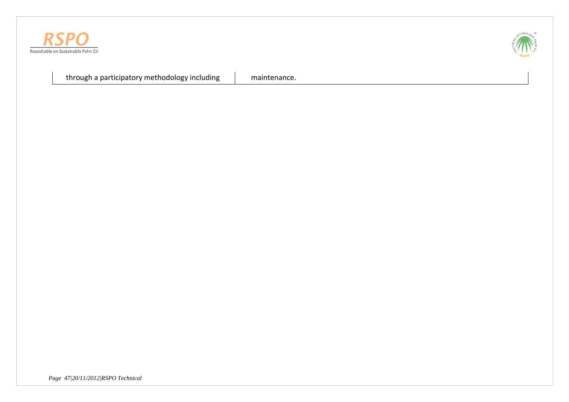



through a participatory methodology including  $\Box$  maintenance.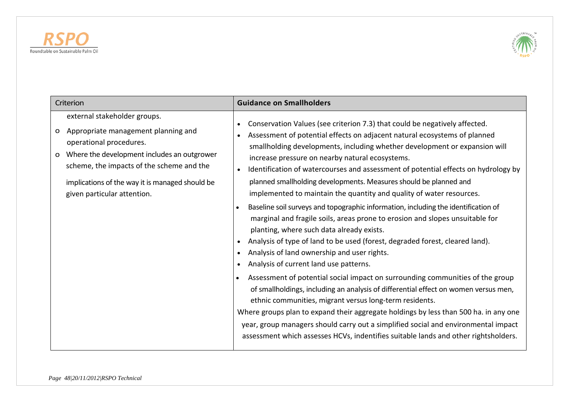



| Criterion                                                                                                                                                                                                                                                                                     | <b>Guidance on Smallholders</b>                                                                                                                                                                                                                                                                                                                                                                                                                                                                                                                                                                                                                                                                                                                                                                                                                                                                                                                                                                                                                                                                                                                                                                                                                                                                                                                                                                                                                           |
|-----------------------------------------------------------------------------------------------------------------------------------------------------------------------------------------------------------------------------------------------------------------------------------------------|-----------------------------------------------------------------------------------------------------------------------------------------------------------------------------------------------------------------------------------------------------------------------------------------------------------------------------------------------------------------------------------------------------------------------------------------------------------------------------------------------------------------------------------------------------------------------------------------------------------------------------------------------------------------------------------------------------------------------------------------------------------------------------------------------------------------------------------------------------------------------------------------------------------------------------------------------------------------------------------------------------------------------------------------------------------------------------------------------------------------------------------------------------------------------------------------------------------------------------------------------------------------------------------------------------------------------------------------------------------------------------------------------------------------------------------------------------------|
| external stakeholder groups.<br>Appropriate management planning and<br>O<br>operational procedures.<br>Where the development includes an outgrower<br>$\Omega$<br>scheme, the impacts of the scheme and the<br>implications of the way it is managed should be<br>given particular attention. | Conservation Values (see criterion 7.3) that could be negatively affected.<br>Assessment of potential effects on adjacent natural ecosystems of planned<br>smallholding developments, including whether development or expansion will<br>increase pressure on nearby natural ecosystems.<br>Identification of watercourses and assessment of potential effects on hydrology by<br>planned smallholding developments. Measures should be planned and<br>implemented to maintain the quantity and quality of water resources.<br>Baseline soil surveys and topographic information, including the identification of<br>$\bullet$<br>marginal and fragile soils, areas prone to erosion and slopes unsuitable for<br>planting, where such data already exists.<br>Analysis of type of land to be used (forest, degraded forest, cleared land).<br>Analysis of land ownership and user rights.<br>Analysis of current land use patterns.<br>Assessment of potential social impact on surrounding communities of the group<br>$\bullet$<br>of smallholdings, including an analysis of differential effect on women versus men,<br>ethnic communities, migrant versus long-term residents.<br>Where groups plan to expand their aggregate holdings by less than 500 ha. in any one<br>year, group managers should carry out a simplified social and environmental impact<br>assessment which assesses HCVs, indentifies suitable lands and other rightsholders. |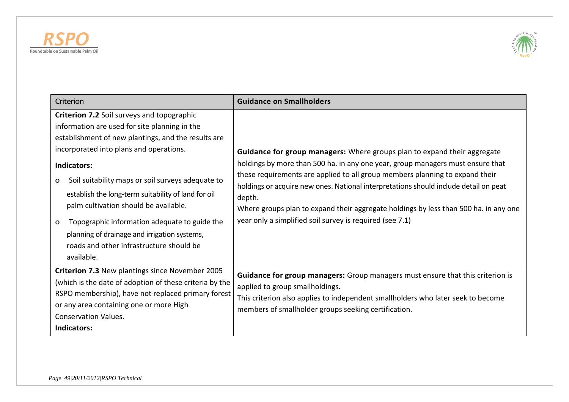



| Criterion                                                                                                                                                                                                                                                                                                                                                                                                                                                                                                                                     | <b>Guidance on Smallholders</b>                                                                                                                                                                                                                                                                                                                                                                                                                                                                  |
|-----------------------------------------------------------------------------------------------------------------------------------------------------------------------------------------------------------------------------------------------------------------------------------------------------------------------------------------------------------------------------------------------------------------------------------------------------------------------------------------------------------------------------------------------|--------------------------------------------------------------------------------------------------------------------------------------------------------------------------------------------------------------------------------------------------------------------------------------------------------------------------------------------------------------------------------------------------------------------------------------------------------------------------------------------------|
| Criterion 7.2 Soil surveys and topographic<br>information are used for site planning in the<br>establishment of new plantings, and the results are<br>incorporated into plans and operations.<br>Indicators:<br>Soil suitability maps or soil surveys adequate to<br>o<br>establish the long-term suitability of land for oil<br>palm cultivation should be available.<br>Topographic information adequate to guide the<br>$\Omega$<br>planning of drainage and irrigation systems,<br>roads and other infrastructure should be<br>available. | Guidance for group managers: Where groups plan to expand their aggregate<br>holdings by more than 500 ha. in any one year, group managers must ensure that<br>these requirements are applied to all group members planning to expand their<br>holdings or acquire new ones. National interpretations should include detail on peat<br>depth.<br>Where groups plan to expand their aggregate holdings by less than 500 ha. in any one<br>year only a simplified soil survey is required (see 7.1) |
| Criterion 7.3 New plantings since November 2005<br>(which is the date of adoption of these criteria by the<br>RSPO membership), have not replaced primary forest<br>or any area containing one or more High<br><b>Conservation Values.</b><br>Indicators:                                                                                                                                                                                                                                                                                     | Guidance for group managers: Group managers must ensure that this criterion is<br>applied to group smallholdings.<br>This criterion also applies to independent smallholders who later seek to become<br>members of smallholder groups seeking certification.                                                                                                                                                                                                                                    |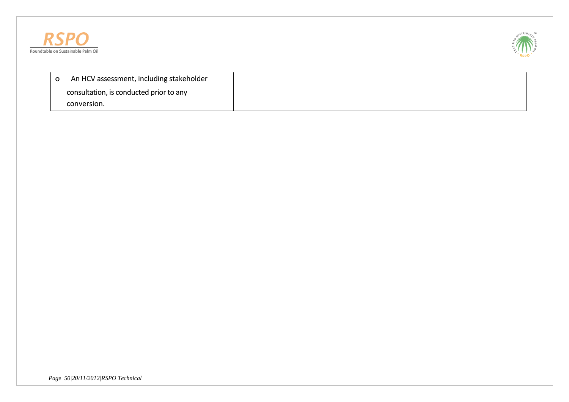



o An HCV assessment, including stakeholder consultation, is conducted prior to any conversion.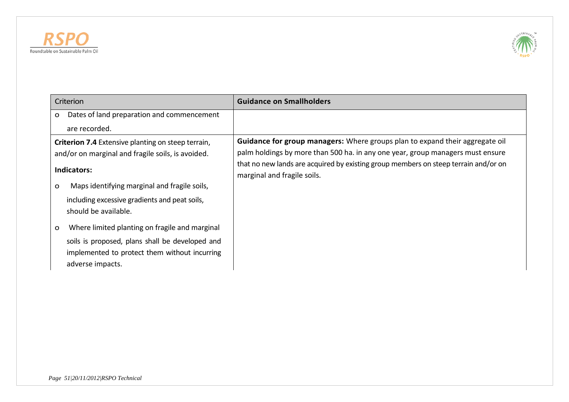



| Criterion                                                                                                                                                                   | <b>Guidance on Smallholders</b>                                                                                                                                                                                                                              |
|-----------------------------------------------------------------------------------------------------------------------------------------------------------------------------|--------------------------------------------------------------------------------------------------------------------------------------------------------------------------------------------------------------------------------------------------------------|
| Dates of land preparation and commencement<br>O                                                                                                                             |                                                                                                                                                                                                                                                              |
| are recorded.                                                                                                                                                               |                                                                                                                                                                                                                                                              |
| <b>Criterion 7.4</b> Extensive planting on steep terrain,<br>and/or on marginal and fragile soils, is avoided.<br>Indicators:                                               | <b>Guidance for group managers:</b> Where groups plan to expand their aggregate oil<br>palm holdings by more than 500 ha. in any one year, group managers must ensure<br>that no new lands are acquired by existing group members on steep terrain and/or on |
| Maps identifying marginal and fragile soils,<br>O<br>including excessive gradients and peat soils,<br>should be available.                                                  | marginal and fragile soils.                                                                                                                                                                                                                                  |
| Where limited planting on fragile and marginal<br>O<br>soils is proposed, plans shall be developed and<br>implemented to protect them without incurring<br>adverse impacts. |                                                                                                                                                                                                                                                              |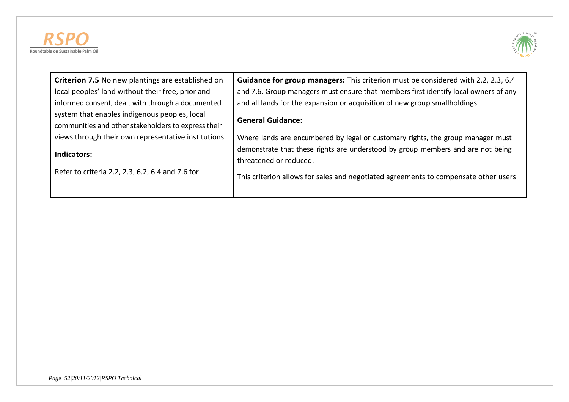



| Criterion 7.5 No new plantings are established on    | <b>Guidance for group managers:</b> This criterion must be considered with 2.2, 2.3, 6.4 |
|------------------------------------------------------|------------------------------------------------------------------------------------------|
| local peoples' land without their free, prior and    | and 7.6. Group managers must ensure that members first identify local owners of any      |
| informed consent, dealt with through a documented    | and all lands for the expansion or acquisition of new group smallholdings.               |
| system that enables indigenous peoples, local        | <b>General Guidance:</b>                                                                 |
| communities and other stakeholders to express their  |                                                                                          |
| views through their own representative institutions. | Where lands are encumbered by legal or customary rights, the group manager must          |
| Indicators:                                          | demonstrate that these rights are understood by group members and are not being          |
|                                                      | threatened or reduced.                                                                   |
| Refer to criteria 2.2, 2.3, 6.2, 6.4 and 7.6 for     | This criterion allows for sales and negotiated agreements to compensate other users      |
|                                                      |                                                                                          |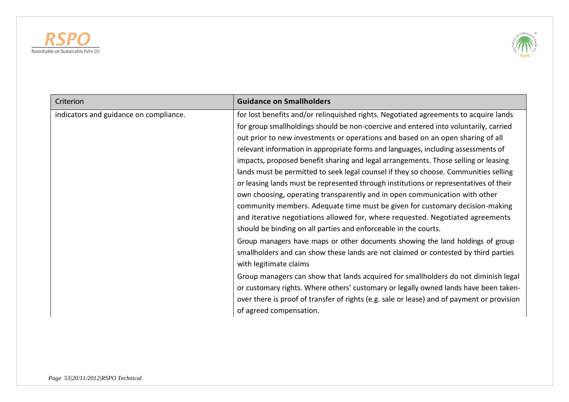



| Criterion                              | <b>Guidance on Smallholders</b>                                                                                                                                                                                                                                                                                                                                                                                                                                                                  |
|----------------------------------------|--------------------------------------------------------------------------------------------------------------------------------------------------------------------------------------------------------------------------------------------------------------------------------------------------------------------------------------------------------------------------------------------------------------------------------------------------------------------------------------------------|
| indicators and guidance on compliance. | for lost benefits and/or relinquished rights. Negotiated agreements to acquire lands<br>for group smallholdings should be non-coercive and entered into voluntarily, carried<br>out prior to new investments or operations and based on an open sharing of all<br>relevant information in appropriate forms and languages, including assessments of<br>impacts, proposed benefit sharing and legal arrangements. Those selling or leasing                                                        |
|                                        | lands must be permitted to seek legal counsel if they so choose. Communities selling<br>or leasing lands must be represented through institutions or representatives of their<br>own choosing, operating transparently and in open communication with other<br>community members. Adequate time must be given for customary decision-making<br>and iterative negotiations allowed for, where requested. Negotiated agreements<br>should be binding on all parties and enforceable in the courts. |
|                                        | Group managers have maps or other documents showing the land holdings of group<br>smallholders and can show these lands are not claimed or contested by third parties<br>with legitimate claims                                                                                                                                                                                                                                                                                                  |
|                                        | Group managers can show that lands acquired for smallholders do not diminish legal<br>or customary rights. Where others' customary or legally owned lands have been taken-<br>over there is proof of transfer of rights (e.g. sale or lease) and of payment or provision<br>of agreed compensation.                                                                                                                                                                                              |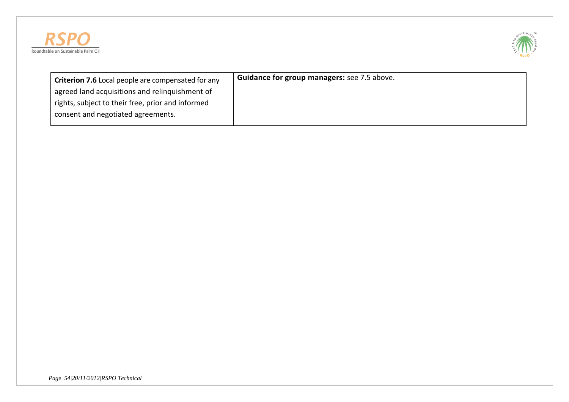



| <b>Criterion 7.6</b> Local people are compensated for any | <b>Guidance for group managers:</b> see 7.5 above. |
|-----------------------------------------------------------|----------------------------------------------------|
| agreed land acquisitions and relinquishment of            |                                                    |
| rights, subject to their free, prior and informed         |                                                    |
| consent and negotiated agreements.                        |                                                    |
|                                                           |                                                    |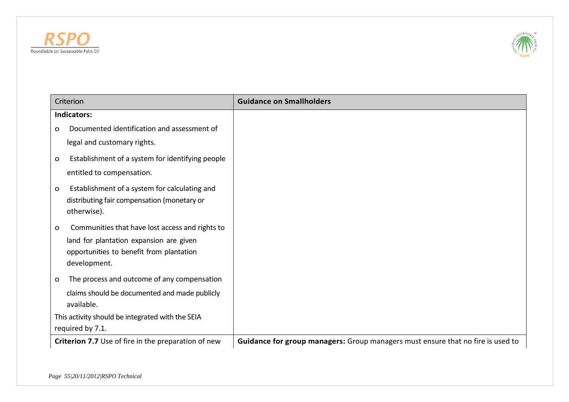



|             | Criterion                                                  | <b>Guidance on Smallholders</b>                                                 |
|-------------|------------------------------------------------------------|---------------------------------------------------------------------------------|
|             | Indicators:                                                |                                                                                 |
| $\Omega$    | Documented identification and assessment of                |                                                                                 |
|             | legal and customary rights.                                |                                                                                 |
| $\mathbf O$ | Establishment of a system for identifying people           |                                                                                 |
|             | entitled to compensation.                                  |                                                                                 |
| O           | Establishment of a system for calculating and              |                                                                                 |
|             | distributing fair compensation (monetary or<br>otherwise). |                                                                                 |
|             |                                                            |                                                                                 |
| O           | Communities that have lost access and rights to            |                                                                                 |
|             | land for plantation expansion are given                    |                                                                                 |
|             | opportunities to benefit from plantation<br>development.   |                                                                                 |
| O           | The process and outcome of any compensation                |                                                                                 |
|             | claims should be documented and made publicly              |                                                                                 |
|             | available.                                                 |                                                                                 |
|             | This activity should be integrated with the SEIA           |                                                                                 |
|             | required by 7.1.                                           |                                                                                 |
|             | Criterion 7.7 Use of fire in the preparation of new        | Guidance for group managers: Group managers must ensure that no fire is used to |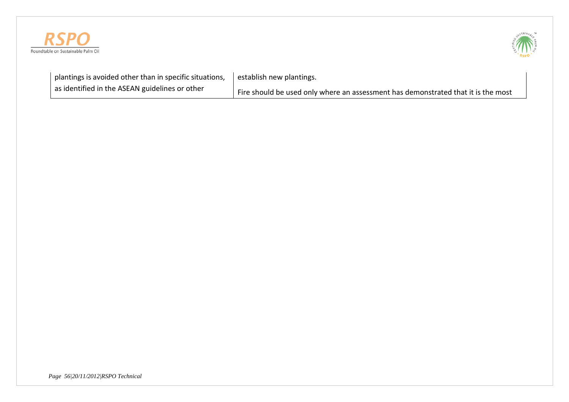



| plantings is avoided other than in specific situations, | establish new plantings.                                                          |
|---------------------------------------------------------|-----------------------------------------------------------------------------------|
| as identified in the ASEAN guidelines or other          | Fire should be used only where an assessment has demonstrated that it is the most |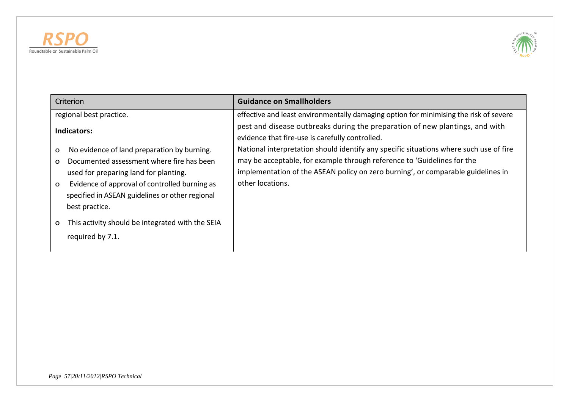



| Criterion                                                                                                                                                                                                                                                                                         | <b>Guidance on Smallholders</b>                                                                                                                                                 |
|---------------------------------------------------------------------------------------------------------------------------------------------------------------------------------------------------------------------------------------------------------------------------------------------------|---------------------------------------------------------------------------------------------------------------------------------------------------------------------------------|
| regional best practice.                                                                                                                                                                                                                                                                           | effective and least environmentally damaging option for minimising the risk of severe                                                                                           |
| Indicators:                                                                                                                                                                                                                                                                                       | pest and disease outbreaks during the preparation of new plantings, and with<br>evidence that fire-use is carefully controlled.                                                 |
| No evidence of land preparation by burning.<br>O                                                                                                                                                                                                                                                  | National interpretation should identify any specific situations where such use of fire                                                                                          |
| Documented assessment where fire has been<br>$\mathbf{o}$<br>used for preparing land for planting.<br>Evidence of approval of controlled burning as<br>$\mathbf{o}$<br>specified in ASEAN guidelines or other regional<br>best practice.<br>This activity should be integrated with the SEIA<br>O | may be acceptable, for example through reference to 'Guidelines for the<br>implementation of the ASEAN policy on zero burning', or comparable guidelines in<br>other locations. |
| required by 7.1.                                                                                                                                                                                                                                                                                  |                                                                                                                                                                                 |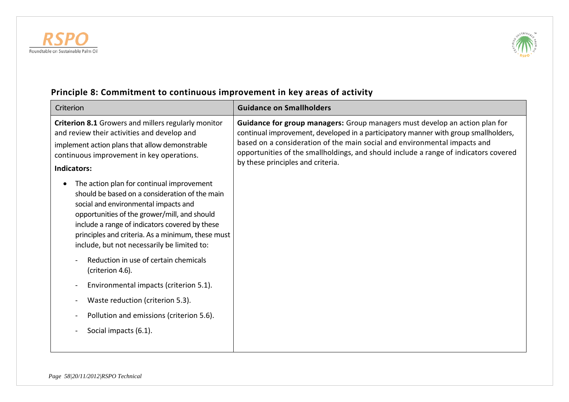



### Criterion **Guidance on Smallholders Criterion 8.1** Growers and millers regularly monitor and review their activities and develop and implement action plans that allow demonstrable continuous improvement in key operations. **Indicators:** • The action plan for continual improvement should be based on a consideration of the main social and environmental impacts and opportunities of the grower/mill, and should include a range of indicators covered by these principles and criteria. As a minimum, these must include, but not necessarily be limited to: - Reduction in use of certain chemicals (criterion 4.6). Environmental impacts (criterion 5.1). Waste reduction (criterion 5.3). Pollution and emissions (criterion 5.6). Social impacts (6.1). **Guidance for group managers:** Group managers must develop an action plan for continual improvement, developed in a participatory manner with group smallholders, based on a consideration of the main social and environmental impacts and opportunities of the smallholdings, and should include a range of indicators covered by these principles and criteria.

# **Principle 8: Commitment to continuous improvement in key areas of activity**